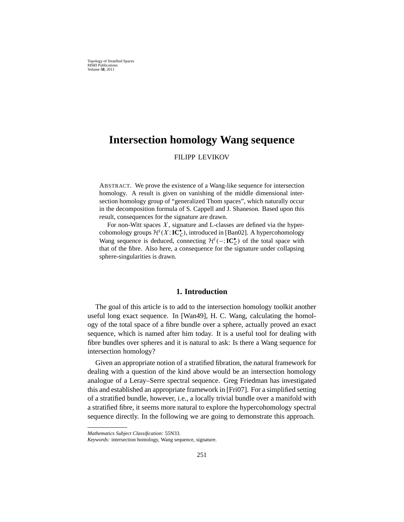# **Intersection homology Wang sequence**

FILIPP LEVIKOV

ABSTRACT. We prove the existence of a Wang-like sequence for intersection homology. A result is given on vanishing of the middle dimensional intersection homology group of "generalized Thom spaces", which naturally occur in the decomposition formula of S. Cappell and J. Shaneson. Based upon this result, consequences for the signature are drawn.

For non-Witt spaces  $X$ , signature and L-classes are defined via the hypercohomology groups  $\mathcal{H}^{i}(X;\mathbf{IC}_{\mathcal{L}}^{\bullet})$ , introduced in [Ban02]. A hypercohomology Wang sequence is deduced, connecting  $\mathcal{H}^i(-;\mathbf{IC}^{\bullet})$  of the total space with that of the fibre. Also here, a consequence for the signature under collapsing sphere-singularities is drawn.

## **1. Introduction**

The goal of this article is to add to the intersection homology toolkit another useful long exact sequence. In [Wan49], H. C. Wang, calculating the homology of the total space of a fibre bundle over a sphere, actually proved an exact sequence, which is named after him today. It is a useful tool for dealing with fibre bundles over spheres and it is natural to ask: Is there a Wang sequence for intersection homology?

Given an appropriate notion of a stratified fibration, the natural framework for dealing with a question of the kind above would be an intersection homology analogue of a Leray–Serre spectral sequence. Greg Friedman has investigated this and established an appropriate framework in [Fri07]. For a simplified setting of a stratified bundle, however, i.e., a locally trivial bundle over a manifold with a stratified fibre, it seems more natural to explore the hypercohomology spectral sequence directly. In the following we are going to demonstrate this approach.

*Mathematics Subject Classification:* 55N33.

*Keywords:* intersection homology, Wang sequence, signature.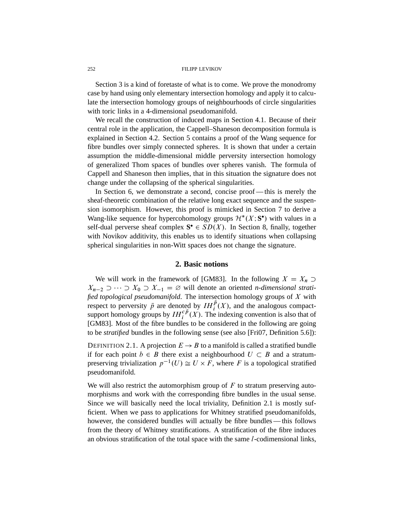Section 3 is a kind of foretaste of what is to come. We prove the monodromy case by hand using only elementary intersection homology and apply it to calculate the intersection homology groups of neighbourhoods of circle singularities with toric links in a 4-dimensional pseudomanifold.

We recall the construction of induced maps in Section 4.1. Because of their central role in the application, the Cappell–Shaneson decomposition formula is explained in Section 4.2. Section 5 contains a proof of the Wang sequence for fibre bundles over simply connected spheres. It is shown that under a certain assumption the middle-dimensional middle perversity intersection homology of generalized Thom spaces of bundles over spheres vanish. The formula of Cappell and Shaneson then implies, that in this situation the signature does not change under the collapsing of the spherical singularities.

In Section 6, we demonstrate a second, concise proof — this is merely the sheaf-theoretic combination of the relative long exact sequence and the suspension isomorphism. However, this proof is mimicked in Section 7 to derive a Wang-like sequence for hypercohomology groups  $\mathcal{H}^*(X; S^{\bullet})$  with values in a self-dual perverse sheaf complex  $S^{\bullet} \in SD(X)$ . In Section 8, finally, together with Novikov additivity, this enables us to identify situations when collapsing spherical singularities in non-Witt spaces does not change the signature.

# **2. Basic notions**

We will work in the framework of [GM83]. In the following  $X = X_n$  $X_{n-2} \supset \cdots \supset X_0 \supset X_{-1} = \varnothing$  will denote an oriented *n*-dimensional strati*fied topological pseudomanifold*. The intersection homology groups of X with respect to perversity  $\bar{p}$  are denoted by  $IH_{i}^{\bar{p}}(X)$ , and the analogous compactsupport homology groups by  $IH_i^{c\bar{p}}(X)$ . The indexing convention is also that of [GM83]. Most of the fibre bundles to be considered in the following are going to be *stratified* bundles in the following sense (see also [Fri07, Definition 5.6]):

DEFINITION 2.1. A projection  $E \rightarrow B$  to a manifold is called a stratified bundle if for each point  $b \in B$  there exist a neighbourhood  $U \subset B$  and a stratumpreserving trivialization  $p^{-1}(U) \cong U \times F$ , where F is a topological stratified pseudomanifold.

We will also restrict the automorphism group of  $F$  to stratum preserving automorphisms and work with the corresponding fibre bundles in the usual sense. Since we will basically need the local triviality, Definition 2.1 is mostly sufficient. When we pass to applications for Whitney stratified pseudomanifolds, however, the considered bundles will actually be fibre bundles — this follows from the theory of Whitney stratifications. A stratification of the fibre induces an obvious stratification of the total space with the same  $l$ -codimensional links,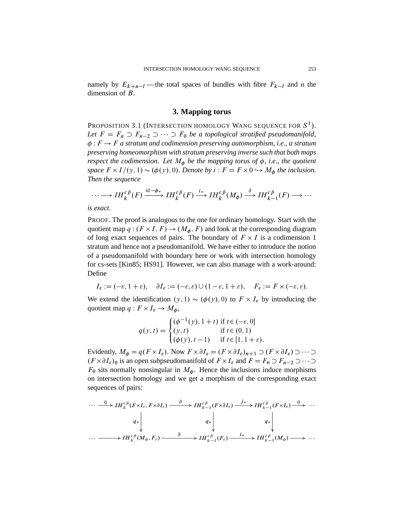namely by  $E_{k+n-l}$ —the total spaces of bundles with fibre  $F_{k-l}$  and n the dimension of B.

### **3. Mapping torus**

Proposition 3.1 (Intersection homology Wang sequence for  $S^1$  ). Let  $F = F_n \supset F_{n-2} \supset \cdots \supset F_0$  *be a topological stratified pseudomanifold*,  $\phi: F \to F$  a stratum and codimension preserving automorphism, *i.e.*, a stratum *preserving homeomorphism with stratum preserving inverse such that both maps respect the codimension. Let*  $M_{\phi}$  *be the mapping torus of*  $\phi$ *, i.e., the quotient* space  $F \times I/(y, 1) \sim (\phi(y), 0)$ . *Denote by*  $i : F = F \times 0 \hookrightarrow M_{\phi}$  the inclusion. *Then the sequence*

$$
\cdots \longrightarrow IH_{k}^{c\bar{p}}(F) \xrightarrow{\mathrm{id}-\phi_{*}} IH_{k}^{c\bar{p}}(F) \xrightarrow{i_{*}} IH_{k}^{c\bar{p}}(M_{\phi}) \xrightarrow{\partial} IH_{k-1}^{c\bar{p}}(F) \longrightarrow \cdots
$$

*is exact*.

PROOF. The proof is analogous to the one for ordinary homology. Start with the quotient map  $q:(F \times I, F) \to (M_{\phi}, F)$  and look at the corresponding diagram of long exact sequences of pairs. The boundary of  $F \times I$  is a codimension 1 stratum and hence not a pseudomanifold. We have either to introduce the notion of a pseudomanifold with boundary here or work with intersection homology for cs-sets [Kin85; HS91]. However, we can also manage with a work-around: Define

$$
I_{\varepsilon} := (-\varepsilon, 1 + \varepsilon), \quad \partial I_{\varepsilon} := (-\varepsilon, \varepsilon) \cup (1 - \varepsilon, 1 + \varepsilon), \quad F_{\varepsilon} := F \times (-\varepsilon, \varepsilon).
$$

We extend the identification  $(y, 1) \sim (\phi(y), 0)$  to  $F \times I_{\varepsilon}$  by introducing the quotient map  $q: F \times I_{\varepsilon} \to M_{\phi}$ ,

$$
q(y,t) = \begin{cases} (\phi^{-1}(y), 1+t) & \text{if } t \in (-\varepsilon, 0] \\ (y,t) & \text{if } t \in (0,1) \\ (\phi(y), t-1) & \text{if } t \in [1, 1+\varepsilon). \end{cases}
$$

Evidently,  $M_{\phi} = q(F \times I_{\varepsilon})$ . Now  $F \times \partial I_{\varepsilon} = (F \times \partial I_{\varepsilon})_{n+1} \supset (F \times \partial I_{\varepsilon}) \supset \cdots \supset$  $(F \times \partial I_{\varepsilon})_0$  is an open *sub*pseudomanifold of  $F \times I_{\varepsilon}$  and  $F = F_n \supset F_{n-2} \supset \cdots \supset$  $F_0$  sits normally nonsingular in  $M_{\phi}$ . Hence the inclusions induce morphisms on intersection homology and we get a morphism of the corresponding exact sequences of pairs:

$$
\cdots \xrightarrow{\quad 0 \quad H_k^{c\bar{p}}(F \times I_{\varepsilon}, F \times \partial I_{\varepsilon}) \xrightarrow{\quad \ \ \, \partial \quad} IH_{k-1}^{c\bar{p}}(F \times \partial I_{\varepsilon}) \xrightarrow{\quad \ \ j_* \quad} IH_{k-1}^{c\bar{p}}(F \times I_{\varepsilon}) \xrightarrow{\quad \ \ 0 \quad} \cdots
$$
\n
$$
\begin{array}{c}\n q_* \Big| \\
\cdots \longrightarrow IH_k^{c\bar{p}}(M_{\phi}, F_{\varepsilon}) \xrightarrow{\quad \ \ \, \partial \quad} \qquad IH_{k-1}^{c\bar{p}}(F_{\varepsilon}) \xrightarrow{\quad \ \ i_* \quad} IH_{k-1}^{c\bar{p}}(M_{\phi}) \longrightarrow \cdots\n\end{array}
$$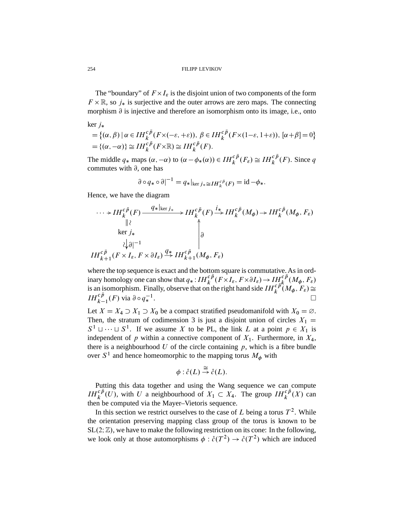The "boundary" of  $F \times I_{\varepsilon}$  is the disjoint union of two components of the form  $F \times \mathbb{R}$ , so  $j_*$  is surjective and the outer arrows are zero maps. The connecting morphism  $\partial$  is injective and therefore an isomorphism onto its image, i.e., onto

ker 
$$
j_*
$$
  
\n
$$
= \{ (\alpha, \beta) \mid \alpha \in IH_k^{c\bar{p}}(F \times (-\varepsilon, +\varepsilon)), \ \beta \in IH_k^{c\bar{p}}(F \times (1-\varepsilon, 1+\varepsilon)), \ [\alpha + \beta] = 0 \}
$$
\n
$$
= \{ (\alpha, -\alpha) \} \cong IH_k^{c\bar{p}}(F \times \mathbb{R}) \cong IH_k^{c\bar{p}}(F).
$$

The middle  $q_*$  maps  $(\alpha, -\alpha)$  to  $(\alpha - \phi_*(\alpha)) \in IH_k^{c\bar{p}}(F_{\varepsilon}) \cong IH_k^{c\bar{p}}(F)$ . Since q commutes with  $\partial$ , one has

$$
\partial \circ q_* \circ \partial |^{-1} = q_*|_{\ker j_* \cong IH_k^{c\bar{p}}(F)} = \mathrm{id} - \phi_*.
$$

Hence, we have the diagram

$$
\cdots \rightarrow IH_{k}^{c\bar{p}}(F) \xrightarrow{q_{*}|_{\ker j_{*}}}\qquad IH_{k}^{c\bar{p}}(F) \xrightarrow{i_{*}}IH_{k}^{c\bar{p}}(M_{\phi}) \rightarrow IH_{k}^{c\bar{p}}(M_{\phi}, F_{\varepsilon})
$$
  
\n
$$
\downarrow \qquad \qquad \downarrow \qquad \qquad \downarrow \qquad \qquad \downarrow \qquad \qquad \downarrow \qquad \qquad \downarrow \qquad \qquad \downarrow \qquad \qquad \downarrow \qquad \qquad \downarrow \qquad \qquad \downarrow \qquad \qquad \downarrow \qquad \qquad \downarrow \qquad \qquad \downarrow \qquad \qquad \downarrow \qquad \qquad \downarrow \qquad \qquad \downarrow \qquad \qquad \downarrow \qquad \qquad \downarrow \qquad \qquad \downarrow \qquad \qquad \downarrow \qquad \qquad \downarrow \qquad \qquad \downarrow \qquad \qquad \downarrow \qquad \qquad \downarrow \qquad \qquad \downarrow \qquad \qquad \downarrow \qquad \qquad \downarrow \qquad \qquad \downarrow \qquad \qquad \downarrow \qquad \qquad \downarrow \qquad \qquad \downarrow \qquad \qquad \downarrow \qquad \qquad \downarrow \qquad \qquad \downarrow \qquad \qquad \downarrow \qquad \qquad \downarrow \qquad \qquad \downarrow \qquad \qquad \downarrow \qquad \qquad \downarrow \qquad \qquad \downarrow \qquad \qquad \downarrow \qquad \qquad \downarrow \qquad \qquad \downarrow \qquad \qquad \downarrow \qquad \qquad \downarrow \qquad \qquad \downarrow \qquad \qquad \downarrow \qquad \qquad \downarrow \qquad \qquad \downarrow \qquad \qquad \downarrow \qquad \qquad \downarrow \qquad \qquad \downarrow \qquad \qquad \downarrow \qquad \qquad \downarrow \qquad \qquad \downarrow \qquad \qquad \downarrow \qquad \qquad \downarrow \qquad \qquad \downarrow \qquad \qquad \downarrow \qquad \qquad \downarrow \qquad \qquad \downarrow \qquad \qquad \downarrow \qquad \qquad \downarrow \qquad \qquad \downarrow \qquad \qquad \downarrow \qquad \qquad \downarrow \qquad \qquad \downarrow \qquad \qquad \downarrow \qquad \qquad \downarrow \qquad \qquad \downarrow \qquad \qquad \downarrow \qquad \qquad \downarrow \qquad \qquad
$$

where the top sequence is exact and the bottom square is commutative. As in ordinary homology one can show that  $q_*: IH_k^{c\bar{p}}(F\times I_\varepsilon, F\times \partial I_\varepsilon)\to IH_{\varepsilon,\bar{p}}^{c\bar{p}}(M_\phi, F_\varepsilon)$ is an isomorphism. Finally, observe that on the right hand side  $IH_k^{c\bar{p}}(M_\phi, F_\varepsilon) \cong$  $IH_{k-1}^{c\bar{p}}(F)$  via  $\partial \circ q_*^{-1}$ . The contract of the contract of the contract of  $\Box$ 

Let  $X = X_4 \supset X_1 \supset X_0$  be a compact stratified pseudomanifold with  $X_0 = \emptyset$ . Then, the stratum of codimension 3 is just a disjoint union of circles  $X_1 =$  $S^1 \sqcup \cdots \sqcup S^1$ . If we assume X to be PL, the link L at a point  $p \in X_1$  is independent of p within a connective component of  $X_1$ . Furthermore, in  $X_4$ , there is a neighbourhood  $U$  of the circle containing  $p$ , which is a fibre bundle over  $S^1$  and hence homeomorphic to the mapping torus  $M_{\phi}$  with

$$
\phi: \mathring{c}(L) \stackrel{\cong}{\to} \mathring{c}(L).
$$

Putting this data together and using the Wang sequence we can compute  $IH_k^{c\bar{p}}(U)$ , with U a neighbourhood of  $X_1 \subset X_4$ . The group  $IH_k^{c\bar{p}}(X)$  can then be computed via the Mayer–Vietoris sequence.

In this section we restrict ourselves to the case of L being a torus  $T^2$ . While the orientation preserving mapping class group of the torus is known to be  $SL(2;\mathbb{Z})$ , we have to make the following restriction on its cone: In the following, we look only at those automorphisms  $\phi$ :  $\mathring{c}(T^2) \to \mathring{c}(T^2)$  which are induced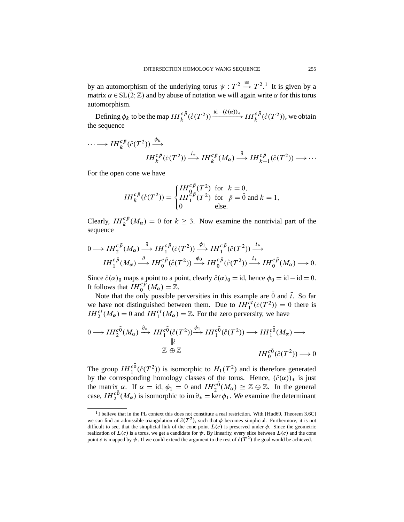by an automorphism of the underlying torus  $\psi : T^2 \stackrel{\cong}{\to} T^2$ .<sup>1</sup> It is given by a matrix  $\alpha \in SL(2;\mathbb{Z})$  and by abuse of notation we will again write  $\alpha$  for this torus automorphism.

Defining  $\phi_k$  to be the map  $IH_k^{c\bar{p}}(\r{c}(T^2)) \xrightarrow{\text{id} - (\r{c}(\alpha))_*} IH_k^{c\bar{p}}(\r{c}(T^2)),$  we obtain the sequence

$$
\cdots \longrightarrow IH_{k}^{c\bar{p}}(\mathring{c}(T^{2})) \xrightarrow{\phi_{k}} H_{k}^{c\bar{p}}(\mathring{c}(T^{2})) \xrightarrow{i_{*}} IH_{k}^{c\bar{p}}(M_{\alpha}) \xrightarrow{\partial} IH_{k-1}^{c\bar{p}}(\mathring{c}(T^{2})) \longrightarrow \cdots
$$

For the open cone we have

$$
IH_{k}^{c\bar{p}}(\mathring{c}(T^{2})) = \begin{cases} IH_{0}^{c\bar{p}}(T^{2}) \text{ for } k=0, \\ IH_{1}^{c\bar{p}}(T^{2}) \text{ for } \bar{p}=\bar{0} \text{ and } k=1, \\ 0 \text{ else.} \end{cases}
$$

Clearly,  $IH_k^{c\bar{p}}(M_\alpha) = 0$  for  $k \geq 3$ . Now examine the nontrivial part of the sequence

$$
0 \longrightarrow IH_{1}^{c\bar{p}}(M_{\alpha}) \stackrel{\partial}{\longrightarrow} IH_{1}^{c\bar{p}}(\mathring{c}(T^{2})) \stackrel{\phi_{1}}{\longrightarrow} IH_{1}^{c\bar{p}}(\mathring{c}(T^{2})) \stackrel{i_{*}}{\longrightarrow}
$$
  

$$
IH_{1}^{c\bar{p}}(M_{\alpha}) \stackrel{\partial}{\longrightarrow} IH_{0}^{c\bar{p}}(\mathring{c}(T^{2})) \stackrel{\phi_{0}}{\longrightarrow} IH_{0}^{c\bar{p}}(\mathring{c}(T^{2})) \stackrel{i_{*}}{\longrightarrow} IH_{0}^{c\bar{p}}(M_{\alpha}) \longrightarrow 0.
$$

Since  $\hat{c}(\alpha)_0$  maps a point to a point, clearly  $\hat{c}(\alpha)_0 = id$ , hence  $\phi_0 = id - id = 0$ . It follows that  $IH_0^{c\bar{p}}(M_\alpha)=\mathbb{Z}$ .

Note that the only possible perversities in this example are  $\overline{0}$  and  $\overline{t}$ . So far we have not distinguished between them. Due to  $IH_{1}^{\tilde{c}\tilde{t}}(\mathcal{E}(T^{2}))=0$  there is  $IH_2^{c\bar{t}}(M_\alpha) = 0$  and  $IH_1^{c\bar{t}}(M_\alpha) = \mathbb{Z}$ . For the zero perversity, we have

$$
0 \longrightarrow IH_{2}^{\tilde{c}}(M_{\alpha}) \xrightarrow{\partial_{*}} IH_{1}^{\tilde{c}}(\tilde{c}(T^{2})) \xrightarrow{\phi_{1}} IH_{1}^{\tilde{c}}(\tilde{c}(T^{2})) \longrightarrow IH_{1}^{\tilde{c}}(M_{\alpha}) \longrightarrow
$$
  

$$
\downarrow \mathbb{Z} \oplus \mathbb{Z} \qquad \qquad IH_{0}^{\tilde{c}}(\tilde{c}(T^{2})) \longrightarrow 0
$$

The group  $IH_1^{c\bar{0}}(\mathcal{E}(T^2))$  is isomorphic to  $H_1(T^2)$  and is therefore generated by the corresponding homology classes of the torus. Hence,  $(\hat{c}(\alpha))_*$  is just the matrix  $\alpha$ . If  $\alpha = id$ ,  $\phi_1 = 0$  and  $IH_2^{c\bar{0}}(M_\alpha) \cong \mathbb{Z} \oplus \mathbb{Z}$ . In the general case,  $IH_2^{c\bar{0}}(M_\alpha)$  is isomorphic to im  $\partial_* = \ker \phi_1$ . We examine the determinant

<sup>&</sup>lt;sup>1</sup>I believe that in the PL context this does not constitute a real restriction. With [Hud69, Theorem 3.6C] we can find an admissible triangulation of  $\mathring{c}(T^2)$ , such that  $\phi$  becomes simplicial. Furthermore, it is not difficult to see, that the simplicial link of the cone point  $L(c)$  is preserved under  $\phi$ . Since the geometric realization of  $L(c)$  is a torus, we get a candidate for  $\psi$ . By linearity, every slice between  $L(c)$  and the cone point c is mapped by  $\psi$ . If we could extend the argument to the rest of  $\mathring{c}(T^2)$  the goal would be achieved.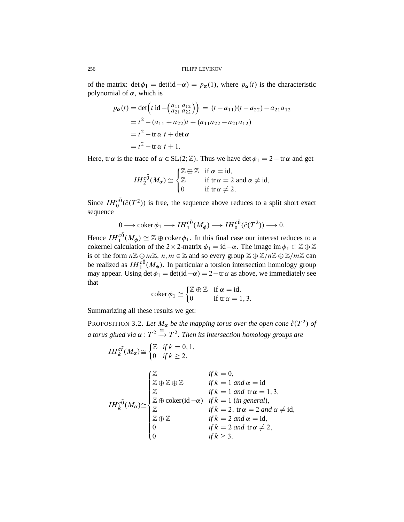of the matrix:  $\det \phi_1 = \det(\mathrm{id} - \alpha) = p_\alpha(1)$ , where  $p_\alpha(t)$  is the characteristic polynomial of  $\alpha$ , which is

$$
p_{\alpha}(t) = \det \left( t \operatorname{id} - \left( \begin{array}{c} a_{11} & a_{12} \\ a_{21} & a_{22} \end{array} \right) \right) = (t - a_{11})(t - a_{22}) - a_{21}a_{12}
$$
\n
$$
= t^2 - (a_{11} + a_{22})t + (a_{11}a_{22} - a_{21}a_{12})
$$
\n
$$
= t^2 - \operatorname{tr} \alpha \ t + \det \alpha
$$
\n
$$
= t^2 - \operatorname{tr} \alpha \ t + 1.
$$

Here, tr  $\alpha$  is the trace of  $\alpha \in SL(2;\mathbb{Z})$ . Thus we have det  $\phi_1 = 2 - \text{tr } \alpha$  and get

$$
IH_2^{c\bar{0}}(M_{\alpha}) \cong \begin{cases} \mathbb{Z} \oplus \mathbb{Z} & \text{if } \alpha = \text{id}, \\ \mathbb{Z} & \text{if } \text{tr}\,\alpha = 2 \text{ and } \alpha \neq \text{id}, \\ 0 & \text{if } \text{tr}\,\alpha \neq 2. \end{cases}
$$

Since  $IH_0^{c\bar{0}}(\mathring{c}(T^2))$  is free, the sequence above reduces to a split short exact sequence

$$
0 \longrightarrow \operatorname{coker} \phi_1 \longrightarrow IH_1^{c\bar{0}}(M_{\phi}) \longrightarrow IH_0^{c\bar{0}}(\mathring{c}(T^2)) \longrightarrow 0.
$$

Hence  $IH_1^{c_0}(M_\phi) \cong \mathbb{Z} \oplus \text{coker}\,\phi_1$ . In this final case our interest reduces to a cokernel calculation of the 2  $\times$  2-matrix  $\phi_1 = id - \alpha$ . The image im  $\phi_1 \subset \mathbb{Z} \oplus \mathbb{Z}$ is of the form  $n\mathbb{Z} \oplus m\mathbb{Z}$ ,  $n, m \in \mathbb{Z}$  and so every group  $\mathbb{Z} \oplus \mathbb{Z}/n\mathbb{Z} \oplus \mathbb{Z}/m\mathbb{Z}$  can be realized as  $IH_1^{c_0}(M_\phi)$ . In particular a torsion intersection homology group may appear. Using det  $\phi_1 = \det(\mathrm{id} - \alpha) = 2 - \mathrm{tr} \alpha$  as above, we immediately see that

$$
\operatorname{coker} \phi_1 \cong \begin{cases} \mathbb{Z} \oplus \mathbb{Z} & \text{if } \alpha = \operatorname{id}, \\ 0 & \text{if } \operatorname{tr} \alpha = 1, 3. \end{cases}
$$

Summarizing all these results we get:

PROPOSITION 3.2. Let  $M_{\alpha}$  be the mapping torus over the open cone  $\mathring{c}(T^2)$  of a torus glued via  $\alpha$  :  $T^2 \stackrel{\cong}{\to} T^2.$  Then its intersection homology groups are

$$
IH_{k}^{c\bar{t}}(M_{\alpha}) \cong \begin{cases} \mathbb{Z} & \text{if } k = 0, 1, \\ 0 & \text{if } k \geq 2, \end{cases}
$$
  

$$
IH_{k}^{c\bar{0}}(M_{\alpha}) \cong \begin{cases} \mathbb{Z} & \text{if } k = 0, \\ \mathbb{Z} \oplus \mathbb{Z} \oplus \mathbb{Z} & \text{if } k = 1 \text{ and } \alpha = \text{id} \\ \mathbb{Z} & \text{if } k = 1 \text{ and } \text{tr } \alpha = 1, 3, \\ \mathbb{Z} \oplus \text{coker}(\text{id} - \alpha) & \text{if } k = 1 \text{ (in general)}, \\ \mathbb{Z} & \text{if } k = 2, \text{tr } \alpha = 2 \text{ and } \alpha \neq \text{id}, \\ 0 & \text{if } k = 2 \text{ and } \alpha = \text{id}, \\ 0 & \text{if } k = 2 \text{ and } \text{tr } \alpha \neq 2, \\ 0 & \text{if } k \geq 3. \end{cases}
$$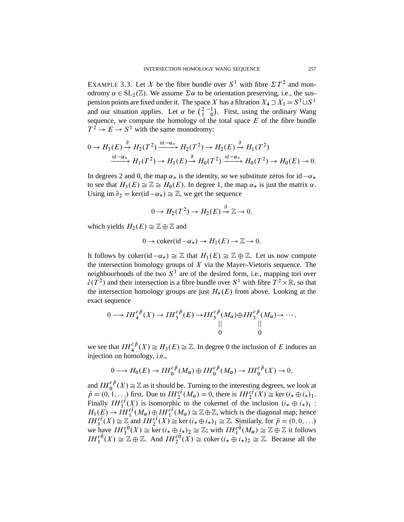EXAMPLE 3.3. Let X be the fibre bundle over  $S^1$  with fibre  $\Sigma T^2$  and monodromy  $\alpha \in SL_2(\mathbb{Z})$ . We assume  $\Sigma \alpha$  to be orientation preserving, i.e., the suspension points are fixed under it. The space X has a filtration  $X_4 \supset X_1 = S^1 \sqcup S^1$ and our situation applies. Let  $\alpha$  be  $\binom{2}{1}$ 1  $-1$  $\begin{pmatrix} 1 \\ 0 \end{pmatrix}$ . First, using the ordinary Wang sequence, we compute the homology of the total space  $E$  of the fibre bundle  $T^2 \to E \to S^1$  with the same monodromy:

$$
0 \to H_3(E) \xrightarrow{\partial} H_2(T^2) \xrightarrow{\mathrm{id} - \alpha_*} H_2(T^2) \to H_2(E) \xrightarrow{\partial} H_1(T^2)
$$
  

$$
\xrightarrow{\mathrm{id} - \alpha_*} H_1(T^2) \to H_1(E) \xrightarrow{\partial} H_0(T^2) \xrightarrow{\mathrm{id} - \alpha_*} H_0(T^2) \to H_0(E) \to 0.
$$

In degrees 2 and 0, the map  $\alpha_*$  is the identity, so we substitute zeros for id  $-\alpha_*$ to see that  $H_3(E) \cong \mathbb{Z} \cong H_0(E)$ . In degree 1, the map  $\alpha_*$  is just the matrix  $\alpha$ . Using im  $\partial_2 = \ker(\mathrm{id} - \alpha_*) \cong \mathbb{Z}$ , we get the sequence

$$
0 \to H_2(T^2) \to H_2(E) \stackrel{\partial}{\to} \mathbb{Z} \to 0,
$$

which yields  $H_2(E) \cong \mathbb{Z} \oplus \mathbb{Z}$  and

$$
0 \to \text{coker}(\text{id} - \alpha_*) \to H_1(E) \to \mathbb{Z} \to 0.
$$

It follows by coker(id  $-\alpha_*$ )  $\cong \mathbb{Z}$  that  $H_1(E) \cong \mathbb{Z} \oplus \mathbb{Z}$ . Let us now compute the intersection homology groups of  $X$  via the Mayer–Vietoris sequence. The neighbourhoods of the two  $S<sup>1</sup>$  are of the desired form, i.e., mapping tori over  $\mathring{c}(T^2)$  and their intersection is a fibre bundle over  $S^1$  with fibre  $T^2 \times \mathbb{R}$ , so that the intersection homology groups are just  $H_*(E)$  from above. Looking at the exact sequence

$$
0 \longrightarrow IH_{4}^{c\bar{p}}(X) \longrightarrow IH_{3}^{c\bar{p}}(E) \longrightarrow IH_{3}^{c\bar{p}}(M_{\alpha})\oplus IH_{3}^{c\bar{p}}(M_{\alpha}) \longrightarrow \cdots,
$$
  

$$
\parallel \qquad \qquad \parallel
$$
  

$$
\qquad \qquad 0
$$

we see that  $IH_{4}^{c\bar{p}}(X) \cong H_{3}(E) \cong \mathbb{Z}$ . In degree 0 the inclusion of E induces an injection on homology, i.e.,

$$
0 \longrightarrow H_0(E) \longrightarrow IH_0^{c\bar{p}}(M_{\alpha}) \oplus IH_0^{c\bar{p}}(M_{\alpha}) \longrightarrow IH_0^{c\bar{p}}(X) \longrightarrow 0,
$$

and  $IH_0^{c\bar{p}}(X) \cong \mathbb{Z}$  as it should be. Turning to the interesting degrees, we look at  $\bar{p} = (0, 1, \ldots)$  first. Due to  $IH_2^{c\bar{t}}(M_\alpha) = 0$ , there is  $IH_2^{c\bar{t}}(X) \cong \text{ker}(i_* \oplus i_*)_1$ . Finally  $IH_1^{cf}(\underline{X})$  is isomorphic to the cokernel of the inclusion  $(i_* \oplus i_*)_1$ :  $H_1(E) \to \overline{IH}_1^{c\bar{t}}(M_\alpha) \oplus \overline{IH}_1^{c\bar{t}}(M_\alpha) \cong \mathbb{Z} \oplus \mathbb{Z}$ , which is the diagonal map; hence  $IH_1^{c\bar{t}}(X) \cong \mathbb{Z}$  and  $IH_2^{c\bar{t}}(X) \cong \text{ker}\,(i_* \oplus i_*)_1 \cong \mathbb{Z}$ . Similarly, for  $\bar{p}=(0,0,\ldots)$ we have  $IH_3^{c\bar{0}}(X) \cong \ker(i_\ast \oplus i_\ast)_2 \cong \mathbb{Z}$ ; with  $IH_1^{c\bar{0}}(M_\alpha) \cong \mathbb{Z} \oplus \mathbb{Z}$  it follows  $IH_1^{c\bar{0}}(X) \cong \mathbb{Z} \oplus \mathbb{Z}$ . And  $IH_2^{c\bar{0}}(X) \cong \text{coker}\,(i_* \oplus i_*)_2 \cong \mathbb{Z}$ . Because all the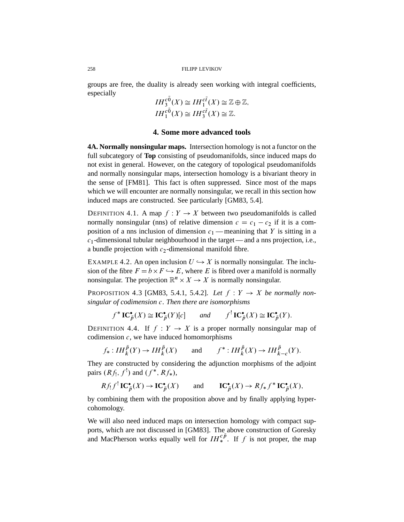groups are free, the duality is already seen working with integral coefficients, especially

$$
IH_3^{c\bar{0}}(X) \cong IH_1^{c\bar{t}}(X) \cong \mathbb{Z} \oplus \mathbb{Z},
$$
  

$$
IH_1^{c\bar{0}}(X) \cong IH_3^{c\bar{t}}(X) \cong \mathbb{Z}.
$$

# **4. Some more advanced tools**

**4A. Normally nonsingular maps.** Intersection homology is not a functor on the full subcategory of **Top** consisting of pseudomanifolds, since induced maps do not exist in general. However, on the category of topological pseudomanifolds and normally nonsingular maps, intersection homology is a bivariant theory in the sense of [FM81]. This fact is often suppressed. Since most of the maps which we will encounter are normally nonsingular, we recall in this section how induced maps are constructed. See particularly [GM83, 5.4].

DEFINITION 4.1. A map  $f: Y \to X$  between two pseudomanifolds is called normally nonsingular (nns) of relative dimension  $c = c_1 - c_2$  if it is a composition of a nns inclusion of dimension  $c_1$  — meanining that Y is sitting in a  $c_1$ -dimensional tubular neighbourhood in the target — and a nns projection, i.e., a bundle projection with  $c_2$ -dimensional manifold fibre.

EXAMPLE 4.2. An open inclusion  $U \hookrightarrow X$  is normally nonsingular. The inclusion of the fibre  $F = b \times F \hookrightarrow E$ , where E is fibred over a manifold is normally nonsingular. The projection  $\mathbb{R}^n \times X \to X$  is normally nonsingular.

PROPOSITION 4.3 [GM83, 5.4.1, 5.4.2]. Let  $f: Y \rightarrow X$  be normally non*singular of codimension* c. *Then there are isomorphisms*

$$
f^* IC_{\bar{p}}^{\bullet}(X) \cong IC_{\bar{p}}^{\bullet}(Y)[c]
$$
 and  $f^! IC_{\bar{p}}^{\bullet}(X) \cong IC_{\bar{p}}^{\bullet}(Y).$ 

DEFINITION 4.4. If  $f: Y \to X$  is a proper normally nonsingular map of codimension  $c$ , we have induced homomorphisms

$$
f_*: IH_k^{\bar{p}}(Y) \to IH_k^{\bar{p}}(X)
$$
 and  $f^*:IH_k^{\bar{p}}(X) \to IH_{k-c}^{\bar{p}}(Y).$ 

They are constructed by considering the adjunction morphisms of the adjoint pairs  $(Rf_1, f^!)$  and  $(f^*, Rf_*),$ 

$$
Rf_!f^! IC\bar{p}^*(X) \to IC\bar{p}^*(X)
$$
 and  $IC_{\bar{p}^*(X) \to Rf_*f^* IC\bar{p}^*(X),$ 

by combining them with the proposition above and by finally applying hypercohomology.

We will also need induced maps on intersection homology with compact supports, which are not discussed in [GM83]. The above construction of Goresky and MacPherson works equally well for  $IH_{*}^{c\bar{p}}$ . If f is not proper, the map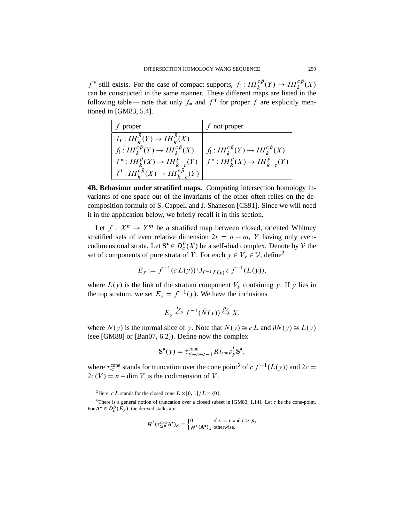$f^*$  still exists. For the case of compact supports,  $f_! : IH_k^{c\bar{p}}(Y) \to IH_k^{c\bar{p}}(X)$ can be constructed in the same manner. These different maps are listed in the following table — note that only  $f_*$  and  $f^*$  for proper f are explicitly mentioned in [GM83, 5.4].

| proper                                                                                                                                           | f not proper                                                           |
|--------------------------------------------------------------------------------------------------------------------------------------------------|------------------------------------------------------------------------|
| $f_*: IH_k^p(Y)\to IH_k^p(X)$<br>$f_!:IH_k^{cp}(Y)\to IH_k^{cp}(X)$<br>$f^*:IH_k^p(X)\to IH_{k-c}^p(Y)$<br>$f':IH_k^{cp}(X)\to IH_{k-c}^{cp}(Y)$ | $f_!:IH_k^{cp}(Y)\to IH_k^{cp}(X)$<br>$f^*:IH_k^p(X)\to IH_{k-c}^p(Y)$ |

**4B. Behaviour under stratified maps.** Computing intersection homology invariants of one space out of the invariants of the other often relies on the decomposition formula of S. Cappell and J. Shaneson [CS91]. Since we will need it in the application below, we briefly recall it in this section.

Let  $f: X^n \to Y^m$  be a stratified map between closed, oriented Whitney stratified sets of even relative dimension  $2t = n - m$ , Y having only evencodimensional strata. Let  $S^{\bullet} \in D_{c}^{b}(X)$  be a self-dual complex. Denote by  $V$  the set of components of pure strata of Y. For each  $y \in V_y \in V$ , define<sup>2</sup>

$$
E_y := f^{-1}(c L(y)) \cup_{f^{-1}L(y)} c f^{-1}(L(y)),
$$

where  $L(y)$  is the link of the stratum component  $V_y$  containing y. If y lies in the top stratum, we set  $E_y = f^{-1}(y)$ . We have the inclusions

$$
E_y \stackrel{i_y}{\longleftrightarrow} f^{-1}(\mathring{N}(y)) \stackrel{\rho_y}{\hookrightarrow} X,
$$

where  $N(y)$  is the normal slice of y. Note that  $N(y) \cong c L$  and  $\partial N(y) \cong L(y)$ (see [GM88] or [Ban07, 6.2]). Define now the complex

$$
\mathbf{S}^{\bullet}(y) = \tau_{\leq -c-t-1}^{\text{cone}} Ri_{y*} \rho_{y}^{\text{l}} \mathbf{S}^{\bullet},
$$

where  $\tau_{\leq}^{\text{cone}}$  stands for truncation over the cone point<sup>3</sup> of  $c f^{-1}(L(y))$  and  $2c =$  $2c(V) = n - \dim V$  is the codimension of V.

$$
H^i(\tau_{\leq p}^{\text{cone}}\mathbf{A}^\bullet)_x = \begin{cases} 0 & \text{if } x = c \text{ and } i > p, \\ H^i(\mathbf{A}^\bullet)_x & \text{otherwise.} \end{cases}
$$

<sup>&</sup>lt;sup>2</sup>Here, *c L* stands for the closed cone  $L \times [0, 1] / L \times \{0\}$ .

<sup>&</sup>lt;sup>3</sup>There is a general notion of truncation over a closed subset in [GM83, 1.14]. Let c be the cone-point. For  $\mathbf{A}^{\bullet} \in D_{c}^{b}(E_{y})$ , the derived stalks are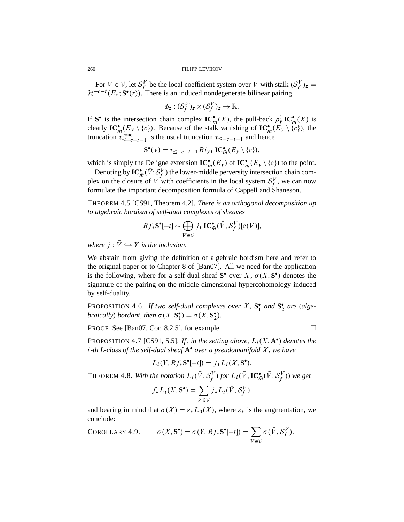For  $V \in \mathcal{V}$ , let  $\mathcal{S}_{f}^{V}$  $S_f^V$  be the local coefficient system over V with stalk  $(S_f^V)$  $\int_f^V$ )z =  $\mathcal{H}^{-c-t}(E_z; \mathbf{S}^\bullet(z))$ . There is an induced nondegenerate bilinear pairing

$$
\phi_z: (\mathcal{S}_f^V)_z \times (\mathcal{S}_f^V)_z \to \mathbb{R}.
$$

If S<sup>•</sup> is the intersection chain complex  $\mathbf{IC}_{\tilde{m}}^{\bullet}(X)$ , the pull-back  $\rho_{\mathcal{Y}}^{\dagger} \mathbf{IC}_{\tilde{m}}^{\bullet}(X)$  is clearly  $\mathbf{IC}_{\overline{m}}^{\bullet}(E_y \setminus \{c\})$ . Because of the stalk vanishing of  $\mathbf{IC}_{\overline{m}}^{\bullet}(\overline{E}_y \setminus \{c\})$ , the truncation  $\tau_{\leq -c-t-1}^{\text{cone}}$  is the usual truncation  $\tau_{\leq -c-t-1}$  and hence

$$
\mathbf{S}^{\bullet}(y) = \tau_{\leq -c - t - 1} R i_{y*} \mathbf{IC}_{\overline{m}}^{\bullet}(E_y \setminus \{c\}),
$$

which is simply the Deligne extension  $\mathbf{IC}_{\overline{m}}^{\bullet}(E_y)$  of  $\mathbf{IC}_{\overline{m}}^{\bullet}(E_y \setminus \{c\})$  to the point.

Denoting by  $\mathbf{IC}_{\bar{m}}^{\bullet}(\bar{V}; \mathcal{S}_{f}^{\bar{V}})$  $f_f^{\prime\prime}$ ) the lower-middle perversity intersection chain complex on the closure of V with coefficients in the local system  $S_f^V$  $\mathcal{S}_f^V$ , we can now formulate the important decomposition formula of Cappell and Shaneson.

THEOREM 4.5 [CS91, Theorem 4.2]. *There is an orthogonal decomposition up to algebraic bordism of self-dual complexes of sheaves*

$$
Rf_*\mathbf{S}^\bullet[-t] \sim \bigoplus_{V \in \mathcal{V}} j_*\mathbf{IC}^\bullet_{\bar{m}}(\bar{V}, \mathcal{S}^V_f)[c(V)],
$$

*where*  $j : \bar{V} \hookrightarrow Y$  *is the inclusion.* 

We abstain from giving the definition of algebraic bordism here and refer to the original paper or to Chapter 8 of [Ban07]. All we need for the application is the following, where for a self-dual sheaf  $S^{\bullet}$  over X,  $\sigma(X, S^{\bullet})$  denotes the signature of the pairing on the middle-dimensional hypercohomology induced by self-duality.

PROPOSITION 4.6. If two self-dual complexes over  $X$ ,  $S_1^{\bullet}$  and  $S_2^{\bullet}$  are (alge*braically*) *bordant*, *then*  $\sigma(X, \mathbf{S}_1^{\bullet}) = \sigma(X, \mathbf{S}_2^{\bullet})$ .

PROOF. See [Ban07, Cor. 8.2.5], for example.  $\Box$ 

PROPOSITION 4.7 [CS91, 5.5]. *If, in the setting above,*  $L_i(X, A^{\bullet})$  *denotes the* i*-th L-class of the self-dual sheaf* **A** *over a pseudomanifold* X, *we have*

$$
L_i(Y, Rf_*\mathbf{S}^\bullet[-t]) = f_*L_i(X, \mathbf{S}^\bullet).
$$

THEOREM 4.8. With the notation  $L_i(\bar{V}, \mathcal{S}_f^V)$  $\mathcal{S}_f^V$ ) for  $L_i(\bar{V},\mathbf{IC}^\bullet_{\bar{m}}(\bar{V};\mathcal{S}_f^V))$  $(f')$ ) we get

$$
f_* L_i(X, \mathbf{S}^{\bullet}) = \sum_{V \in \mathcal{V}} j_* L_i(\bar{V}, \mathcal{S}_f^V).
$$

and bearing in mind that  $\sigma(X) = \varepsilon_* L_0(X)$ , where  $\varepsilon_*$  is the augmentation, we conclude:

COROLLARY 4.9. 
$$
\sigma(X, \mathbf{S}^{\bullet}) = \sigma(Y, Rf_{*}\mathbf{S}^{\bullet}[-t]) = \sum_{V \in V} \sigma(\bar{V}, S_{f}^{V}).
$$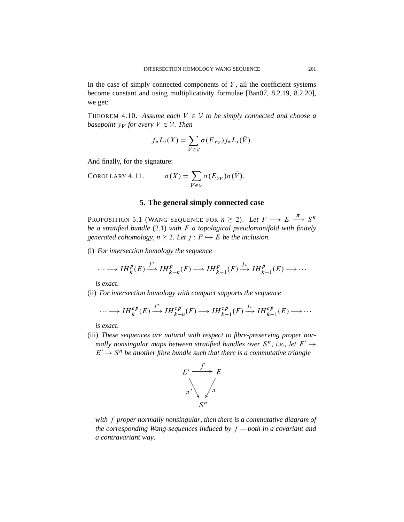In the case of simply connected components of  $Y$ , all the coefficient systems become constant and using multiplicativity formulae [Ban07, 8.2.19, 8.2.20], we get:

THEOREM 4.10. Assume each  $V \in V$  to be simply connected and choose a *basepoint*  $y_V$  *for every*  $V \in V$ *. Then* 

$$
f_*L_i(X) = \sum_{V \in \mathcal{V}} \sigma(E_{\mathcal{V}V}) j_*L_i(\bar{V}).
$$

And finally, for the signature:

COROLLARY 4.11.  $\sum$  $V \in \mathcal{V}$  $\sigma(E_{y_V})\sigma(\bar{V}).$ 

## **5. The general simply connected case**

Proposition 5.1 (Wang sequence for  $n \geq 2$ ). Let  $F \longrightarrow E \stackrel{\pi}{\longrightarrow} S^n$ *be a stratified bundle* (2.1) *with* F *a topological pseudomanifold with finitely generated cohomology,*  $n \geq 2$ *. Let*  $j : F \hookrightarrow E$  *be the inclusion.* 

(i) *For intersection homology the sequence*

$$
\cdots \longrightarrow IH_{k}^{\bar{p}}(E) \xrightarrow{j^{*}} IH_{k-n}^{\bar{p}}(F) \longrightarrow IH_{k-1}^{\bar{p}}(F) \xrightarrow{j_{*}} IH_{k-1}^{\bar{p}}(E) \longrightarrow \cdots
$$

*is exact*.

(ii) *For intersection homology with compact supports the sequence*

$$
\cdots \longrightarrow IH_{k}^{c\bar{p}}(E) \xrightarrow{j^{*}} IH_{k-n}^{c\bar{p}}(F) \longrightarrow IH_{k-1}^{c\bar{p}}(F) \xrightarrow{j_{*}} IH_{k-1}^{c\bar{p}}(E) \longrightarrow \cdots
$$

*is exact*.

(iii) *These sequences are natural with respect to fibre-preserving proper nor*mally nonsingular maps between stratified bundles over  $S<sup>n</sup>$ , *i.e.*, let  $F' \rightarrow$  $E' \to S^n$  be another fibre bundle such that there is a commutative triangle



*with* f *proper normally nonsingular*, *then there is a commutative diagram of the corresponding Wang-sequences induced by* f *— both in a covariant and a contravariant way*.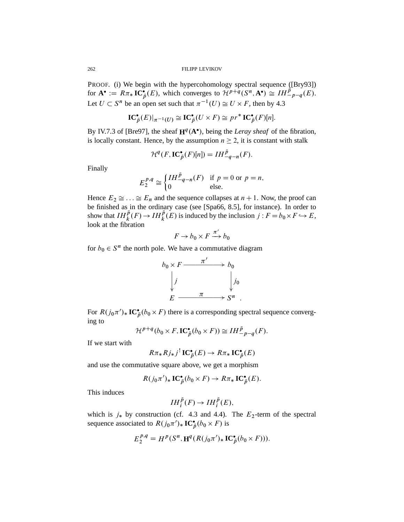PROOF. (i) We begin with the hypercohomology spectral sequence ([Bry93]) for  $\mathbf{A}^{\bullet} := R\pi_{*}\mathbf{IC}_{\bar{p}}^{\bullet}(E)$ , which converges to  $\mathcal{H}^{p+q}(S^{n}, \mathbf{A}^{\bullet}) \cong IH_{-p-q}^{\bar{p}}(E)$ . Let  $U \subset S^n$  be an open set such that  $\pi^{-1}(U) \cong U \times F$ , then by 4.3

$$
\mathbf{IC}_{\bar{p}}^{\bullet}(E)|_{\pi^{-1}(U)} \cong \mathbf{IC}_{\bar{p}}^{\bullet}(U \times F) \cong pr^* \mathbf{IC}_{\bar{p}}^{\bullet}(F)[n].
$$

By IV.7.3 of [Bre97], the sheaf  $H^q(A^{\bullet})$ , being the *Leray sheaf* of the fibration, is locally constant. Hence, by the assumption  $n \geq 2$ , it is constant with stalk

$$
\mathcal{H}^q(F, \mathbf{IC}^\bullet_{\bar{p}}(F)[n]) = IH^{\bar{p}}_{-q-n}(F).
$$

Finally

$$
E_2^{p,q} \cong \begin{cases} IH^{\bar{p}}_{-q-n}(F) & \text{if } p=0 \text{ or } p=n, \\ 0 & \text{else.} \end{cases}
$$

Hence  $E_2 \cong \ldots \cong E_n$  and the sequence collapses at  $n + 1$ . Now, the proof can be finished as in the ordinary case (see [Spa66, 8.5], for instance). In order to show that  $IH_{k}^{\bar{p}}(F) \to IH_{k}^{\bar{p}}(E)$  is induced by the inclusion  $j : F = b_0 \times F \hookrightarrow E$ , look at the fibration

$$
F \to b_0 \times F \xrightarrow{\pi'} b_0
$$

for  $b_0 \in S^n$  the north pole. We have a commutative diagram



For  $R(j_0\pi')_* IC_{\bar{p}}^{\bullet}(b_0\times F)$  there is a corresponding spectral sequence converging to

$$
\mathcal{H}^{p+q}(b_0 \times F, \mathbf{IC}_{\bar{p}}^{\bullet}(b_0 \times F)) \cong IH_{-p-q}^{\bar{p}}(F).
$$

If we start with

$$
R\pi_*Rj_*j^!IC_{\bar{p}}^{\bullet}(E) \to R\pi_*IC_{\bar{p}}^{\bullet}(E)
$$

and use the commutative square above, we get a morphism

$$
R(j_0\pi')_*\mathbf{IC}_{\bar{p}}^{\bullet}(b_0\times F)\to R\pi_*\mathbf{IC}_{\bar{p}}^{\bullet}(E).
$$

This induces

$$
IH_{i}^{\bar{p}}(F)\to IH_{i}^{\bar{p}}(E),
$$

which is  $j_*$  by construction (cf. 4.3 and 4.4). The  $E_2$ -term of the spectral sequence associated to  $R(j_0\pi')_* IC_{\bar{p}}^{\bullet}(b_0 \times F)$  is

$$
E_2^{p,q} = H^p(S^n, \mathbf{H}^q(R(j_0\pi')_* \mathbf{IC}_{\overline{p}}^{\bullet}(b_0 \times F))).
$$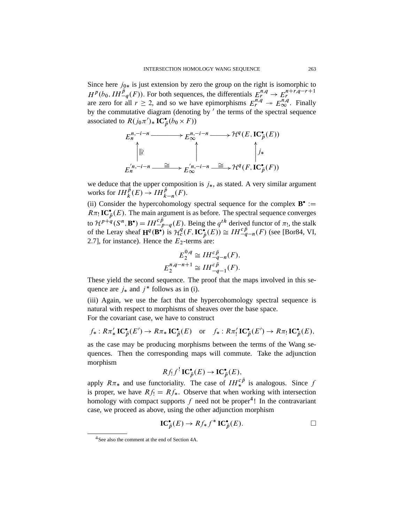Since here  $j_{0*}$  is just extension by zero the group on the right is isomorphic to  $H^p(b_0, IH^{\bar{p}}(F))$ . For both sequences, the differentials  $E_r^{n,q} \to E_r^{n+r,q-r+1}$ are zero for all  $r \ge 2$ , and so we have epimorphisms  $E_r^{n,q} \to E_{\infty}^{n,q}$ . Finally by the commutative diagram (denoting by ' the terms of the spectral sequence associated to  $R(j_0\pi')_* IC_{\bar{p}}^{\bullet}(b_0 \times F))$ 

$$
E_n^{n,-i-n} \longrightarrow E_{\infty}^{n,-i-n} \longrightarrow \mathcal{H}^q(E, \mathbf{IC}_{\bar{p}}^{\bullet}(E))
$$
\n
$$
\uparrow \qquad \qquad \downarrow \qquad \qquad \downarrow \qquad \qquad \downarrow
$$
\n
$$
E_n^{'n,-i-n} \longrightarrow \Xi \longrightarrow E_{\infty}^{'n,-i-n} \longrightarrow \Xi \longrightarrow \mathcal{H}^q(F, \mathbf{IC}_{\bar{p}}^{\bullet}(F))
$$

we deduce that the upper composition is  $j_*$ , as stated. A very similar argument works for  $IH_{k}^{\bar{p}}(E) \rightarrow IH_{k-n}^{\bar{p}}(F)$ .

(ii) Consider the hypercohomology spectral sequence for the complex  $B^* :=$  $R\pi_!$  **IC**<sup>\*</sup><sub>*p*</sub>(*E*). The main argument is as before. The spectral sequence converges to  $\mathcal{H}^{p+q}(S^n, \mathbf{B}^{\bullet}) = IH_{p-q}^{c\bar{p}}(E)$ . Being the  $q^{th}$  derived functor of  $\pi_!$ , the stalk of the Leray sheaf  $\mathbf{H}^{q}(\mathbf{B}^{\bullet})$  is  $\mathcal{H}_{c}^{q}(F, IC_{\bar{p}}^{\bullet}(E)) \cong IH_{-q-n}^{c\bar{p}}(F)$  (see [Bor84, VI, 2.7], for instance). Hence the  $E_2$ -terms are:

$$
E_2^{0,q} \cong IH_{-q-n}^{c\bar{p}}(F),
$$
  

$$
E_2^{n,q-n+1} \cong IH_{-q-1}^{c\bar{p}}(F).
$$

These yield the second sequence. The proof that the maps involved in this sequence are  $j_*$  and  $j^*$  follows as in (i).

(iii) Again, we use the fact that the hypercohomology spectral sequence is natural with respect to morphisms of sheaves over the base space. For the covariant case, we have to construct

$$
f_*: R\pi'_*\mathbf{IC}^\bullet_{\bar{p}}(E') \to R\pi_*\mathbf{IC}^\bullet_{\bar{p}}(E) \quad \text{or} \quad f_*: R\pi'_! \mathbf{IC}^\bullet_{\bar{p}}(E') \to R\pi_! \mathbf{IC}^\bullet_{\bar{p}}(E),
$$

as the case may be producing morphisms between the terms of the Wang sequences. Then the corresponding maps will commute. Take the adjunction morphism

$$
Rf_!f^! \mathbf{IC}_{\bar{p}}^{\bullet}(E) \to \mathbf{IC}_{\bar{p}}^{\bullet}(E),
$$

apply  $R\pi_*$  and use functoriality. The case of  $IH_*^{c\bar{p}}$  is analogous. Since f is proper, we have  $Rf_1 = Rf_*$ . Observe that when working with intersection homology with compact supports  $f$  need not be proper<sup>4</sup>! In the contravariant case, we proceed as above, using the other adjunction morphism

$$
IC_{\bar{p}}^{\bullet}(E) \to Rf_* f^* IC_{\bar{p}}^{\bullet}(E).
$$

<sup>4</sup>See also the comment at the end of Section 4A.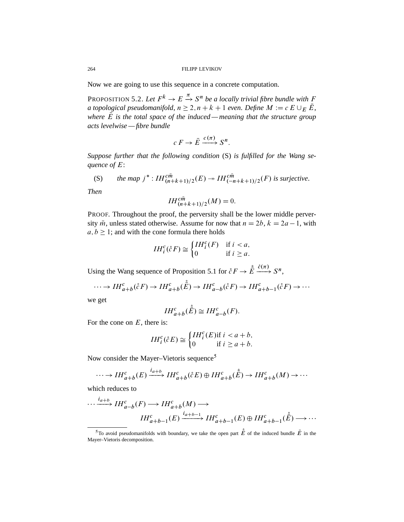Now we are going to use this sequence in a concrete computation.

PROPOSITION 5.2. Let  $F^k \to E \stackrel{\pi}{\to} S^n$  be a locally trivial fibre bundle with F *a topological pseudomanifold, n*  $\geq 2$ , *n* + *k* + 1 *even. Define*  $M := c E \cup_{E} \overline{E}$ , *where*  $\overline{E}$  *is the total space of the induced — meaning that the structure group acts levelwise — fibre bundle*

$$
c F \to \overline{E} \xrightarrow{c(\pi)} S^n.
$$

*Suppose further that the following condition* (S) *is fulfilled for the Wang sequence of* E:

$$
\text{(S)} \qquad \text{the map } j^* : IH_{(n+k+1)/2}^{c\bar{m}}(E) \to IH_{(-n+k+1)/2}^{c\bar{m}}(F) \text{ is surjective.}
$$

*Then*

$$
IH_{(n+k+1)/2}^{c\bar{m}}(M)=0.
$$

PROOF. Throughout the proof, the perversity shall be the lower middle perversity  $\bar{m}$ , unless stated otherwise. Assume for now that  $n = 2b$ ,  $k = 2a - 1$ , with  $a, b \geq 1$ ; and with the cone formula there holds

$$
IH_i^c(\r{c}F) \cong \begin{cases} IH_i^c(F) & \text{if } i < a, \\ 0 & \text{if } i \geq a. \end{cases}
$$

Using the Wang sequence of Proposition 5.1 for  $\mathring{c}F \to \mathring{E} \xrightarrow{\hat{c}(\pi)} S^n$ ,

$$
\cdots \to IH_{a+b}^{c}(\r{c}F) \to IH_{a+b}^{c}(\r{E}) \to IH_{a-b}^{c}(\r{c}F) \to IH_{a+b-1}^{c}(\r{c}F) \to \cdots
$$

we get

$$
IH_{a+b}^{c}(\stackrel{\circ}{E})\cong IH_{a-b}^{c}(F).
$$

For the cone on  $E$ , there is:

$$
IH_i^c(\r{c}E) \cong \begin{cases} IH_i^c(E) \text{if } i < a+b, \\ 0 & \text{if } i \ge a+b. \end{cases}
$$

Now consider the Mayer–Vietoris sequence<sup>5</sup>

$$
\cdots \to IH_{a+b}^{c}(E) \xrightarrow{i_{a+b}} IH_{a+b}^{c}(\r{c}E) \oplus IH_{a+b}^{c}(\r{E}) \to IH_{a+b}^{c}(M) \to \cdots
$$

which reduces to

$$
\cdots \xrightarrow{i_{a+b}} IH_{a-b}^{c}(F) \longrightarrow IH_{a+b}^{c}(M) \longrightarrow
$$

$$
IH_{a+b-1}^{c}(E) \xrightarrow{i_{a+b-1}} IH_{a+b-1}^{c}(E) \oplus IH_{a+b-1}^{c}(\overset{\circ}{E}) \longrightarrow \cdots
$$

<sup>&</sup>lt;sup>5</sup>To avoid pseudomanifolds with boundary, we take the open part  $\dot{\vec{E}}$  of the induced bundle  $\vec{E}$  in the Mayer–Vietoris decomposition.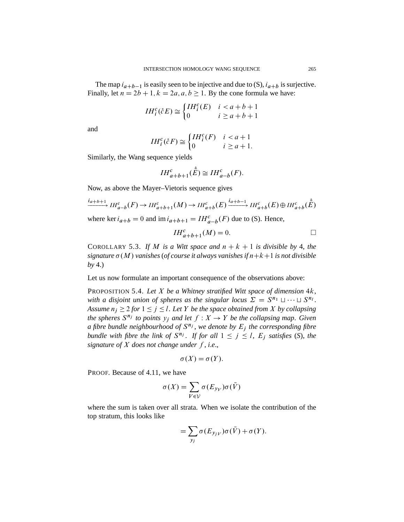The map  $i_{a+b-1}$  is easily seen to be injective and due to (S),  $i_{a+b}$  is surjective. Finally, let  $n = 2b + 1$ ,  $k = 2a$ ,  $a, b \ge 1$ . By the cone formula we have:

$$
IH_i^c(\r{c}E) \cong \begin{cases} IH_i^c(E) & i < a+b+1 \\ 0 & i \ge a+b+1 \end{cases}
$$

and

$$
IH_i^c(\r{c}F) \cong \begin{cases} IH_i^c(F) & i < a+1 \\ 0 & i \ge a+1. \end{cases}
$$

Similarly, the Wang sequence yields

$$
IH_{a+b+1}^{c}(\stackrel{\circ}{E}) \cong IH_{a-b}^{c}(F).
$$

Now, as above the Mayer–Vietoris sequence gives

$$
\xrightarrow{i_{a+b+1}} IH_{a-b}^{c}(F) \to IH_{a+b+1}^{c}(M) \to IH_{a+b}^{c}(E) \xrightarrow{i_{a+b-1}} IH_{a+b}^{c}(E) \oplus IH_{a+b}^{c}(\stackrel{\circ}{E})
$$

where ker  $i_{a+b} = 0$  and  $\text{im } i_{a+b+1} = IH_{a-b}^{c}(F)$  due to (S). Hence,

$$
IH_{a+b+1}^{c}(M) = 0.
$$

COROLLARY 5.3. If M is a Witt space and  $n + k + 1$  is divisible by 4, the  $signature\ \sigma(M)$  *vanishes* (*of course it always vanishes if*  $n+k+1$  *is not divisible by* 4.)

Let us now formulate an important consequence of the observations above:

PROPOSITION 5.4. *Let* X *be a Whitney stratified Witt space of dimension* 4k, with a disjoint union of spheres as the singular locus  $\Sigma = S^{n_1} \cup \cdots \cup S^{n_l}$ . *Assume*  $n_i \geq 2$  *for*  $1 \leq i \leq l$ . Let Y *be the space obtained from* X *by collapsing the spheres*  $S^{n_j}$  *to points*  $y_j$  *and let*  $f: X \to Y$  *be the collapsing map. Given* a fibre bundle neighbourhood of  $S^{n_j}$ , we denote by  $E_j$  the corresponding fibre *bundle with fibre the link of*  $S^{n_j}$ . *If for all*  $1 \leq j \leq l$ ,  $E_j$  *satisfies* (*S*), *the signature of*  $X$  *does not change under*  $f$ *, i.e.,* 

$$
\sigma(X) = \sigma(Y).
$$

PROOF. Because of 4.11, we have

$$
\sigma(X) = \sum_{V \in \mathcal{V}} \sigma(E_{y_V}) \sigma(\bar{V})
$$

where the sum is taken over all strata. When we isolate the contribution of the top stratum, this looks like

$$
= \sum_{y_j} \sigma(E_{y_j} \sigma(\bar{V}) + \sigma(Y).
$$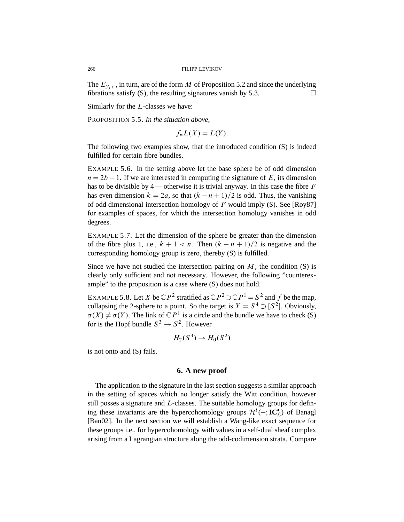The  $E_{y_j}$ , in turn, are of the form M of Proposition 5.2 and since the underlying fibrations satisfy  $(S)$ , the resulting signatures vanish by 5.3.

Similarly for the L-classes we have:

PROPOSITION 5.5. *In the situation above*,

$$
f_*L(X) = L(Y).
$$

The following two examples show, that the introduced condition (S) is indeed fulfilled for certain fibre bundles.

EXAMPLE 5.6. In the setting above let the base sphere be of odd dimension  $n = 2b + 1$ . If we are interested in computing the signature of E, its dimension has to be divisible by 4—otherwise it is trivial anyway. In this case the fibre  $F$ has even dimension  $k = 2a$ , so that  $(k - n + 1)/2$  is odd. Thus, the vanishing of odd dimensional intersection homology of  $F$  would imply (S). See [Roy87] for examples of spaces, for which the intersection homology vanishes in odd degrees.

EXAMPLE 5.7. Let the dimension of the sphere be greater than the dimension of the fibre plus 1, i.e.,  $k + 1 < n$ . Then  $(k - n + 1)/2$  is negative and the corresponding homology group is zero, thereby (S) is fulfilled.

Since we have not studied the intersection pairing on  $M$ , the condition  $(S)$  is clearly only sufficient and not necessary. However, the following "counterexample" to the proposition is a case where (S) does not hold.

EXAMPLE 5.8. Let X be  $\mathbb{C}P^2$  stratified as  $\mathbb{C}P^2 \supset \mathbb{C}P^1 = S^2$  and f be the map, collapsing the 2-sphere to a point. So the target is  $Y = S^4 \supset [S^2]$ . Obviously,  $\sigma(X) \neq \sigma(Y)$ . The link of  $\mathbb{C}P^1$  is a circle and the bundle we have to check (S) for is the Hopf bundle  $S^3 \rightarrow S^2$ . However

$$
H_2(S^3) \to H_0(S^2)
$$

is not onto and (S) fails.

### **6. A new proof**

The application to the signature in the last section suggests a similar approach in the setting of spaces which no longer satisfy the Witt condition, however still posses a signature and  $L$ -classes. The suitable homology groups for defining these invariants are the hypercohomology groups  $\mathcal{H}^i(-;I\mathbb{C}_{\mathcal{L}}^{\bullet})$  of Banagl [Ban02]. In the next section we will establish a Wang-like exact sequence for these groups i.e., for hypercohomology with values in a self-dual sheaf complex arising from a Lagrangian structure along the odd-codimension strata. Compare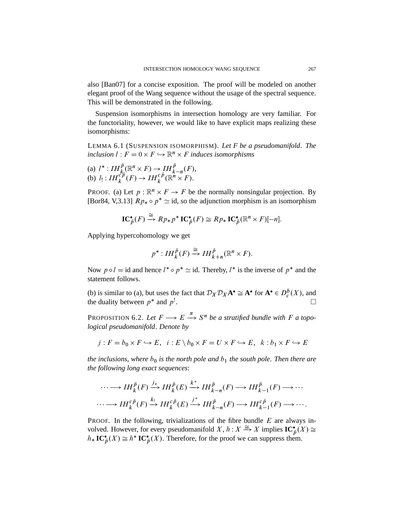also [Ban07] for a concise exposition. The proof will be modeled on another elegant proof of the Wang sequence without the usage of the spectral sequence. This will be demonstrated in the following.

Suspension isomorphisms in intersection homology are very familiar. For the functoriality, however, we would like to have explicit maps realizing these isomorphisms:

LEMMA 6.1 (SUSPENSION ISOMORPHISM). *Let F be a pseudomanifold*. *The inclusion*  $l : F = 0 \times F \hookrightarrow \mathbb{R}^n \times F$  *induces isomorphisms* 

(a) 
$$
l^*: IH_k^{\bar{p}}(\mathbb{R}^n \times F) \to IH_k^{\bar{p}}(F)
$$
,  
(b)  $l_!:IH_k^{c\bar{p}}(F) \to IH_k^{c\bar{p}}(\mathbb{R}^n \times F)$ .

PROOF. (a) Let  $p : \mathbb{R}^n \times F \to F$  be the normally nonsingular projection. By [Bor84, V,3.13]  $Rp_* \circ p^* \simeq$  id, so the adjunction morphism is an isomorphism

$$
\mathbf{IC}_{\bar{p}}^{\bullet}(F) \xrightarrow{\cong} R p_* p^* \mathbf{IC}_{\bar{p}}^{\bullet}(F) \cong R p_* \mathbf{IC}_{\bar{p}}^{\bullet}(\mathbb{R}^n \times F)[-n].
$$

Applying hypercohomology we get

$$
p^*:IH_k^{\bar{p}}(F) \xrightarrow{\cong} IH_{k+n}^{\bar{p}}(\mathbb{R}^n \times F).
$$

Now  $p \circ l = \text{id}$  and hence  $l^* \circ p^* \simeq \text{id}$ . Thereby,  $l^*$  is the inverse of  $p^*$  and the statement follows.

(b) is similar to (a), but uses the fact that  $\mathcal{D}_X \mathcal{D}_X \mathbf{A}^{\bullet} \cong \mathbf{A}^{\bullet}$  for  $\mathbf{A}^{\bullet} \in D_c^b(X)$ , and the duality between  $p^*$  and  $p^!$ . The contract of the contract of  $\Box$ 

PROPOSITION 6.2. Let  $F \longrightarrow E \stackrel{\pi}{\longrightarrow} S^n$  be a stratified bundle with F a topo*logical pseudomanifold*. *Denote by*

$$
j: F = b_0 \times F \hookrightarrow E, \quad i: E \setminus b_0 \times F = U \times F \hookrightarrow E, \quad k: b_1 \times F \hookrightarrow E
$$

*the inclusions, where*  $b_0$  *is the north pole and*  $b_1$  *the south pole. Then there are the following long exact sequences*:

$$
\cdots \longrightarrow IH_{k}^{\bar{p}}(F) \xrightarrow{j_{*}} IH_{k}^{\bar{p}}(E) \xrightarrow{k^{*}} IH_{k-n}^{\bar{p}}(F) \longrightarrow IH_{k-1}^{\bar{p}}(F) \longrightarrow \cdots
$$

$$
\cdots \longrightarrow IH_{k}^{c\bar{p}}(F) \xrightarrow{k_{!}} IH_{k}^{c\bar{p}}(E) \xrightarrow{j^{*}} IH_{k-n}^{\bar{p}}(F) \longrightarrow IH_{k-1}^{c\bar{p}}(F) \longrightarrow \cdots.
$$

PROOF. In the following, trivializations of the fibre bundle  $E$  are always involved. However, for every pseudomanifold  $X, h: X \stackrel{\cong}{\Longrightarrow} X$  implies  $\mathbf{IC}_{\bar{p}}^{\bullet}(X) \cong$  $h_*\mathbf{IC}_{\bar{p}}^{\bullet}(X) \cong h^*\mathbf{IC}_{\bar{p}}^{\bullet}(X)$ . Therefore, for the proof we can suppress them.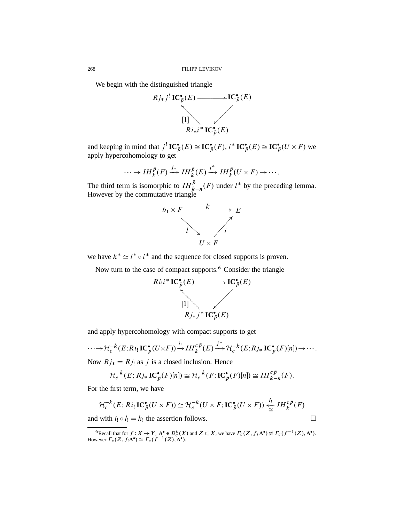We begin with the distinguished triangle



and keeping in mind that  $j^!$  **IC**<sup>\*</sup> $_{\bar{p}}(E) \cong$  **IC**<sup>\*</sup> $_{\bar{p}}(F)$ ,  $i^*$  **IC**<sup>\*</sup> $_{\bar{p}}(E) \cong$  **IC**<sup>\*</sup> $_{\bar{p}}(U \times F)$  we apply hypercohomology to get

$$
\cdots \to IH_{k}^{\bar{p}}(F) \xrightarrow{j_{*}} IH_{k}^{\bar{p}}(E) \xrightarrow{i^{*}} IH_{k}^{\bar{p}}(U\times F) \to \cdots.
$$

The third term is isomorphic to  $IH_{k-n}^{\bar{p}}(F)$  under  $l^*$  by the preceding lemma. However by the commutative triangle



we have  $k^* \simeq l^* \circ i^*$  and the sequence for closed supports is proven.

Now turn to the case of compact supports.<sup>6</sup> Consider the triangle



and apply hypercohomology with compact supports to get

$$
\cdots \to \mathcal{H}_c^{-k}(E;Ri_! \mathbf{IC}_{\bar{p}}^{\bullet}(U \times F)) \xrightarrow{i_!} IH_k^{c\bar{p}}(E) \xrightarrow{j^*} \mathcal{H}_c^{-k}(E;Rj_* \mathbf{IC}_{\bar{p}}^{\bullet}(F)[n]) \to \cdots.
$$

Now  $Rj_* = Rj_!$  as j is a closed inclusion. Hence

$$
\mathcal{H}_c^{-k}(E; Rj_*\mathbf{IC}_{\bar{p}}^{\bullet}(F)[n]) \cong \mathcal{H}_c^{-k}(F; \mathbf{IC}_{\bar{p}}^{\bullet}(F)[n]) \cong IH_{k-n}^{c\bar{p}}(F).
$$

For the first term, we have

$$
\mathcal{H}_c^{-k}(E; Ri_! \mathbf{IC}^{\bullet}_{\bar{p}}(U \times F)) \cong \mathcal{H}_c^{-k}(U \times F; \mathbf{IC}^{\bullet}_{\bar{p}}(U \times F)) \xleftarrow[ \sum_{\cong}^{l_!} IH_k^{c\bar{p}}(F)
$$

and with  $i_! \circ l_! = k_!$  the assertion follows.

<sup>&</sup>lt;sup>6</sup>Recall that for  $f: X \to Y$ ,  $A^{\bullet} \in D_c^b(X)$  and  $Z \subset X$ , we have  $\Gamma_c(Z, f_*A^{\bullet}) \not\cong \Gamma_c(f^{-1}(Z), A^{\bullet})$ . However  $\Gamma_c(Z, f_!A^{\bullet}) \cong \Gamma_c(f^{-1}(Z), A^{\bullet}).$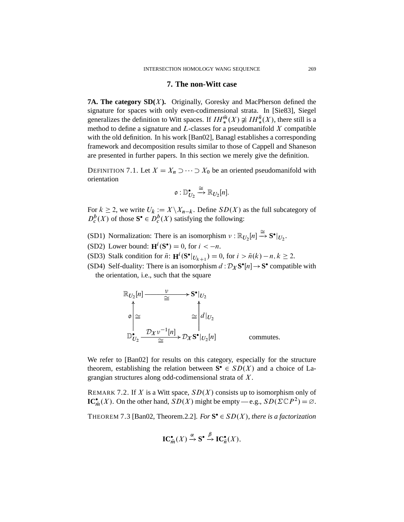### **7. The non-Witt case**

**7A. The category SD(X).** Originally, Goresky and MacPherson defined the signature for spaces with only even-codimensional strata. In [Sie83], Siegel generalizes the definition to Witt spaces. If  $IH_{*}^{\bar{m}}(X) \not\cong IH_{*}^{\bar{n}}(X)$ , there still is a method to define a signature and  $L$ -classes for a pseudomanifold  $X$  compatible with the old definition. In his work [Ban02], Banagl establishes a corresponding framework and decomposition results similar to those of Cappell and Shaneson are presented in further papers. In this section we merely give the definition.

DEFINITION 7.1. Let  $X = X_n \supset \cdots \supset X_0$  be an oriented pseudomanifold with orientation

$$
\mathfrak{o}: \mathbb{D}^\bullet_{U_2} \xrightarrow{\cong} \mathbb{R}_{U_2}[n].
$$

For  $k \ge 2$ , we write  $U_k := X \setminus X_{n-k}$ . Define  $SD(X)$  as the full subcategory of  $D_c^b(X)$  of those  $S^{\bullet} \in D_c^b(X)$  satisfying the following:

- (SD1) Normalization: There is an isomorphism  $v : \mathbb{R}_{U_2}[n] \stackrel{\cong}{\rightarrow} S^{\bullet}|_{U_2}$ .
- (SD2) Lower bound:  $\mathbf{H}^i(\mathbf{S}^{\bullet}) = 0$ , for  $i < -n$ .
- (SD3) Stalk condition for  $\bar{n}$ :  $\mathbf{H}^i(\mathbf{S}^\bullet|_{U_{k+1}}) = 0$ , for  $i > \bar{n}(k) n, k \ge 2$ .
- (SD4) Self-duality: There is an isomorphism  $d : \mathcal{D}_X \mathbf{S}^\bullet[n] \to \mathbf{S}^\bullet$  compatible with the orientation, i.e., such that the square

$$
\mathbb{R}_{U_2}[n] \xrightarrow{\nu} \mathbf{S}^{\bullet}|_{U_2}
$$
\n
$$
\phi \Big| \cong \qquad \qquad \cong \qquad \qquad \mathbb{R}^{\bullet}|_{U_2}
$$
\n
$$
\mathbb{D}_{U_2}^{\bullet} \xrightarrow{\mathcal{D}_X \nu^{-1}[n]} \mathcal{D}_X \mathbf{S}^{\bullet}|_{U_2}[n] \qquad \qquad \text{commutes.}
$$

We refer to [Ban02] for results on this category, especially for the structure theorem, establishing the relation between  $S^{\bullet} \in SD(X)$  and a choice of Lagrangian structures along odd-codimensional strata of X.

REMARK 7.2. If X is a Witt space,  $SD(X)$  consists up to isomorphism only of **IC**<sup>\*</sup> $\overline{m}(X)$ . On the other hand,  $SD(X)$  might be empty — e.g.,  $SD(\Sigma \mathbb{C}P^2) = \emptyset$ .

THEOREM 7.3 [Ban02, Theorem.2.2]. *For*  $S^{\bullet} \in SD(X)$ , *there is a factorization* 

$$
\mathbf{IC}_{\overline{m}}^{\bullet}(X) \xrightarrow{\alpha} \mathbf{S}^{\bullet} \xrightarrow{\beta} \mathbf{IC}_{\overline{n}}^{\bullet}(X),
$$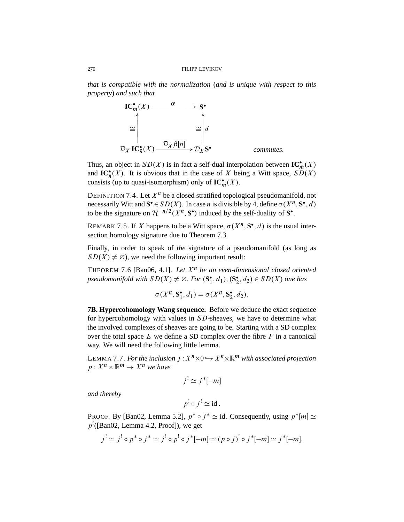*that is compatible with the normalization* (*and is unique with respect to this property*) *and such that*



Thus, an object in  $SD(X)$  is in fact a self-dual interpolation between  $\mathbf{IC}_{\overline{m}}^{\bullet}(X)$ and  $\mathbf{IC}_{\overline{n}}^{\bullet}(X)$ . It is obvious that in the case of X being a Witt space,  $SD(X)$ consists (up to quasi-isomorphism) only of  $\mathbf{IC}_{\bar{m}}^{\bullet}(X)$ .

DEFINITION 7.4. Let  $X^n$  be a closed stratified topological pseudomanifold, not necessarily Witt and  $S^{\bullet} \in SD(X)$ . In case *n* is divisible by 4, define  $\sigma(X^n, S^{\bullet}, d)$ to be the signature on  $\mathcal{H}^{-n/2}(X^n, \mathbf{S}^{\bullet})$  induced by the self-duality of  $\mathbf{S}^{\bullet}$ .

REMARK 7.5. If X happens to be a Witt space,  $\sigma(X^n, S^{\bullet}, d)$  is the usual intersection homology signature due to Theorem 7.3.

Finally, in order to speak of *the* signature of a pseudomanifold (as long as  $SD(X) \neq \emptyset$ , we need the following important result:

THEOREM 7.6 [Ban06, 4.1]. Let  $X<sup>n</sup>$  be an even-dimensional closed oriented *pseudomanifold with*  $SD(X) \neq \emptyset$ . *For*  $(\mathbf{S}_1^{\bullet}, d_1), (\mathbf{S}_2^{\bullet}, d_2) \in SD(X)$  *one has* 

$$
\sigma(X^n, \mathbf{S}_1^{\bullet}, d_1) = \sigma(X^n, \mathbf{S}_2^{\bullet}, d_2).
$$

**7B. Hypercohomology Wang sequence.** Before we deduce the exact sequence for hypercohomology with values in SD-sheaves, we have to determine what the involved complexes of sheaves are going to be. Starting with a SD complex over the total space  $E$  we define a SD complex over the fibre  $F$  in a canonical way. We will need the following little lemma.

LEMMA 7.7. For the inclusion  $j: X^n \times 0 \hookrightarrow X^n \times \mathbb{R}^m$  with associated projection  $p: X^n \times \mathbb{R}^m \to X^n$  we have

$$
j^! \simeq j^*[-m]
$$

*and thereby*

$$
p^! \circ j^! \simeq \text{id}.
$$

PROOF. By [Ban02, Lemma 5.2],  $p^* \circ j^* \simeq id$ . Consequently, using  $p^*[m] \simeq$  $p^!$ ([Ban02, Lemma 4.2, Proof]), we get

$$
j' \simeq j' \circ p^* \circ j^* \simeq j' \circ p' \circ j^*[-m] \simeq (p \circ j)^! \circ j^*[-m] \simeq j^*[-m].
$$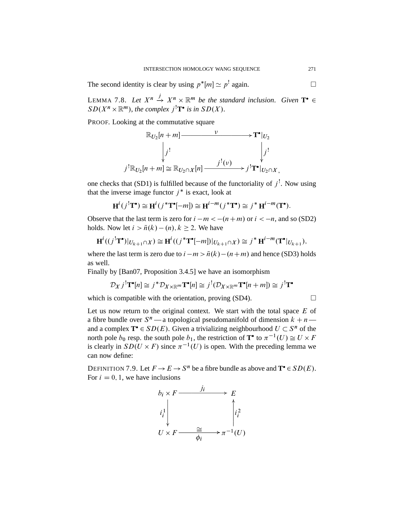The second identity is clear by using  $p^*[m] \simeq p^!$  again.

LEMMA 7.8. Let  $X^n \xrightarrow{j} X^n \times \mathbb{R}^m$  be the standard inclusion. Given  $\mathbf{T}^{\bullet} \in$  $SD(X^n \times \mathbb{R}^m)$ , the complex  $j^!T^{\bullet}$  is in  $SD(X)$ .

PROOF. Looking at the commutative square



one checks that (SD1) is fulfilled because of the functoriality of  $j^!$ . Now using that the inverse image functor  $j^*$  is exact, look at

$$
\mathbf{H}^i(j^!\mathbf{T}^\bullet) \cong \mathbf{H}^i(j^*\mathbf{T}^\bullet[-m]) \cong \mathbf{H}^{i-m}(j^*\mathbf{T}^\bullet) \cong j^* \mathbf{H}^{i-m}(\mathbf{T}^\bullet).
$$

Observe that the last term is zero for  $i - m < -(n + m)$  or  $i < -n$ , and so (SD2) holds. Now let  $i > \bar{n}(k) - (n), k \ge 2$ . We have

$$
\mathbf{H}^i((j^! \mathbf{T}^\bullet)|_{U_{k+1} \cap X}) \cong \mathbf{H}^i((j^* \mathbf{T}^\bullet[-m])|_{U_{k+1} \cap X}) \cong j^* \mathbf{H}^{i-m}(\mathbf{T}^\bullet|_{U_{k+1}}),
$$

where the last term is zero due to  $i - m > \bar{n}(k) - (n + m)$  and hence (SD3) holds as well.

Finally by [Ban07, Proposition 3.4.5] we have an isomorphism

$$
\mathcal{D}_X j^! \mathbf{T}^\bullet[n] \cong j^* \mathcal{D}_{X \times \mathbb{R}^m} \mathbf{T}^\bullet[n] \cong j^! (\mathcal{D}_{X \times \mathbb{R}^m} \mathbf{T}^\bullet[n+m]) \cong j^! \mathbf{T}^\bullet
$$

which is compatible with the orientation, proving  $(SD4)$ .

Let us now return to the original context. We start with the total space  $E$  of a fibre bundle over  $S<sup>n</sup>$  — a topological pseudomanifold of dimension  $k + n$  and a complex  $T^* \in SD(E)$ . Given a trivializing neighbourhood  $U \subset S^n$  of the north pole  $b_0$  resp. the south pole  $b_1$ , the restriction of  $\mathbf{T}^{\bullet}$  to  $\pi^{-1}(U) \cong U \times F$ is clearly in  $SD(U \times F)$  since  $\pi^{-1}(U)$  is open. With the preceding lemma we can now define:

DEFINITION 7.9. Let  $F \to E \to S^n$  be a fibre bundle as above and  $\mathbf{T}^{\bullet} \in SD(E)$ . For  $i = 0, 1$ , we have inclusions

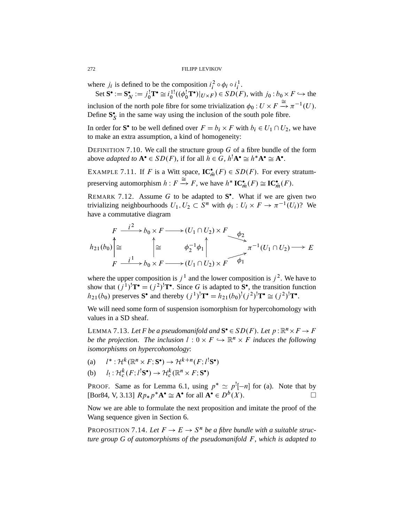where  $j_i$  is defined to be the composition  $i_i^2 \circ \phi_i \circ i_i^1$ .

Set  $\mathbf{S}^{\bullet} := \mathbf{S}_{N}^{\bullet} := j_{0}^{!} \mathbf{T}^{\bullet} \cong i_{0}^{1!}((\phi_{0}^{!} \mathbf{T}^{\bullet})|_{U \times F}) \in SD(F)$ , with  $j_{0}: b_{0} \times F \hookrightarrow$  the inclusion of the north pole fibre for some trivialization  $\phi_0: U \times F \xrightarrow{\cong} \pi^{-1}(U)$ . Define  $S_S^*$  in the same way using the inclusion of the south pole fibre.

In order for **S**<sup>•</sup> to be well defined over  $F = b_i \times F$  with  $b_i \in U_1 \cap U_2$ , we have to make an extra assumption, a kind of homogeneity:

DEFINITION 7.10. We call the structure group  $G$  of a fibre bundle of the form above *adapted to*  $A^{\bullet} \in SD(F)$ , if for all  $h \in G$ ,  $h^{\dagger}A^{\bullet} \cong h^{\ast}A^{\bullet} \cong A^{\bullet}$ .

EXAMPLE 7.11. If F is a Witt space,  $\mathbf{IC}_{\overline{m}}^{\bullet}(F) \in SD(F)$ . For every stratumpreserving automorphism  $h: F \xrightarrow{\cong} F$ , we have  $h^* IC_{\bar{m}}^{\bullet}(F) \cong IC_{\bar{m}}^{\bullet}(F)$ .

REMARK 7.12. Assume  $G$  to be adapted to  $S^{\bullet}$ . What if we are given two trivializing neighbourhoods  $U_1, U_2 \subset S^n$  with  $\phi_i : U_i \times F \to \pi^{-1}(U_i)$ ? We have a commutative diagram

$$
F \xrightarrow{i^2} b_0 \times F \longrightarrow (U_1 \cap U_2) \times F \xrightarrow{\phi_2} f_2
$$
  
\n
$$
h_{21}(b_0) \uparrow \cong f \xrightarrow{i^1} b_0 \times F \longrightarrow (U_1 \cap U_2) \times F \longrightarrow f_1
$$
  
\n
$$
F \xrightarrow{i^1} b_0 \times F \longrightarrow (U_1 \cap U_2) \times F \longrightarrow f_1
$$

where the upper composition is  $j^1$  and the lower composition is  $j^2$ . We have to show that  $(j^1)$ <sup>1</sup> $T^{\bullet} = (j^2)$ <sup>1</sup> $T^{\bullet}$ . Since G is adapted to S<sup>*o*</sup>, the transition function  $h_{21}(b_0)$  preserves **S**<sup>•</sup> and thereby  $(j^1)^! \mathbf{T}^{\bullet} = h_{21}(b_0)^! (j^2)^! \mathbf{T}^{\bullet} \cong (j^2)^! \mathbf{T}^{\bullet}$ .

We will need some form of suspension isomorphism for hypercohomology with values in a SD sheaf.

LEMMA 7.13. Let F be a pseudomanifold and  $S^{\bullet} \in SD(F)$ . Let  $p : \mathbb{R}^n \times F \to F$ *be the projection. The inclusion*  $l : 0 \times F \hookrightarrow \mathbb{R}^n \times F$  *induces the following isomorphisms on hypercohomology*:

- $(a)$  $*:\mathcal{H}^k(\mathbb{R}^n\times F; \mathbf{S}^\bullet) \to \mathcal{H}^{k+n}(F; l^!\mathbf{S}^\bullet)$
- $(b)$  $: \mathcal{H}_c^k(F; l^!\mathbf{S}^\bullet) \to \mathcal{H}_c^k(\mathbb{R}^n \times F; \mathbf{S}^\bullet)$

**PROOF.** Same as for Lemma 6.1, using  $p^* \simeq p^![-n]$  for (a). Note that by [Bor84, V, 3.13]  $R p_* p^* \mathbf{A}^{\bullet} \cong \mathbf{A}^{\bullet}$  for all  $\mathbf{A}^{\bullet} \in D^b(X)$ .

Now we are able to formulate the next proposition and imitate the proof of the Wang sequence given in Section 6.

PROPOSITION 7.14. Let  $F \to E \to S^n$  be a fibre bundle with a suitable struc*ture group G of automorphisms of the pseudomanifold* F, *which is adapted to*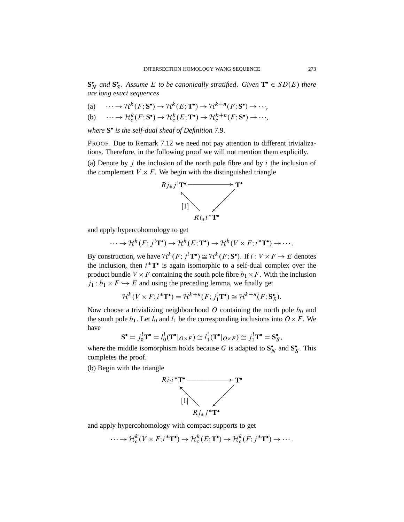$\mathbf{S}_N^{\bullet}$  and  $\mathbf{S}_S^{\bullet}$ . Assume *E* to be canonically stratified. Given  $\mathbf{T}^{\bullet} \in SD(E)$  there *are long exact sequences*

(a) 
$$
\cdots \to \mathcal{H}^k(F; \mathbf{S}^{\bullet}) \to \mathcal{H}^k(E; \mathbf{T}^{\bullet}) \to \mathcal{H}^{k+n}(F; \mathbf{S}^{\bullet}) \to \cdots
$$

(b) 
$$
\cdots \to \mathcal{H}_c^k(F; \mathbf{S}^{\bullet}) \to \mathcal{H}_c^k(E; \mathbf{T}^{\bullet}) \to \mathcal{H}_c^{k+n}(F; \mathbf{S}^{\bullet}) \to \cdots
$$

*where* **S** *is the self-dual sheaf of Definition* 7.9.

PROOF. Due to Remark 7.12 we need not pay attention to different trivializations. Therefore, in the following proof we will not mention them explicitly.

(a) Denote by  $j$  the inclusion of the north pole fibre and by  $i$  the inclusion of the complement  $V \times F$ . We begin with the distinguished triangle

 $\bullet$ 



and apply hypercohomology to get

$$
\cdots \to \mathcal{H}^k(F; j^! \mathbf{T}^{\bullet}) \to \mathcal{H}^k(E; \mathbf{T}^{\bullet}) \to \mathcal{H}^k(V \times F; i^* \mathbf{T}^{\bullet}) \to \cdots.
$$

By construction, we have  $\mathcal{H}^k(F; j^! \mathbf{T}^{\bullet}) \cong \mathcal{H}^k(F; \mathbf{S}^{\bullet})$ . If  $i: V \times F \to E$  denotes the inclusion, then  $i^*T^*$  is again isomorphic to a self-dual complex over the product bundle  $V \times F$  containing the south pole fibre  $b_1 \times F$ . With the inclusion  $j_1 : b_1 \times F \hookrightarrow E$  and using the preceding lemma, we finally get

$$
\mathcal{H}^k(V \times F; i^*\mathbf{T}^{\bullet}) = \mathcal{H}^{k+n}(F; j_1^!\mathbf{T}^{\bullet}) \cong \mathcal{H}^{k+n}(F; \mathbf{S}_{\mathcal{S}}^{\bullet}).
$$

Now choose a trivializing neighbourhood O containing the north pole  $b_0$  and the south pole  $b_1$ . Let  $l_0$  and  $l_1$  be the corresponding inclusions into  $O \times F$ . We have

$$
\mathbf{S}^{\bullet} = j_0^! \mathbf{T}^{\bullet} = l_0^! (\mathbf{T}^{\bullet} |_{O \times F}) \cong l_1^! (\mathbf{T}^{\bullet} |_{O \times F}) \cong j_1^! \mathbf{T}^{\bullet} = \mathbf{S}_{\mathcal{S}}^{\bullet},
$$

where the middle isomorphism holds because G is adapted to  $S_N^*$  and  $S_S^*$ . This completes the proof.

(b) Begin with the triangle



and apply hypercohomology with compact supports to get

$$
\cdots \to \mathcal{H}_c^k(V \times F; i^*\mathbf{T}^{\bullet}) \to \mathcal{H}_c^k(E; \mathbf{T}^{\bullet}) \to \mathcal{H}_c^k(F; j^*\mathbf{T}^{\bullet}) \to \cdots.
$$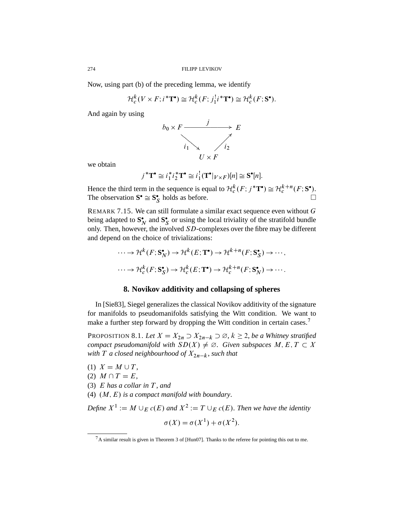Now, using part (b) of the preceding lemma, we identify

$$
\mathcal{H}_c^k(V \times F; i^*\mathbf{T}^\bullet) \cong \mathcal{H}_c^k(F; j_1^! i^*\mathbf{T}^\bullet) \cong \mathcal{H}_c^k(F; \mathbf{S}^\bullet).
$$

And again by using



we obtain

$$
j^{\ast} \mathbf{T}^{\bullet} \cong i_1^{\ast} i_2^{\ast} \mathbf{T}^{\bullet} \cong i_1^! (\mathbf{T}^{\bullet}|_{V \times F})[n] \cong \mathbf{S}^{\bullet}[n].
$$

Hence the third term in the sequence is equal to  $\mathcal{H}_c^k(F; j^*\mathbf{T}^{\bullet}) \cong \mathcal{H}_c^{k+n}(F; \mathbf{S}^{\bullet})$ .<br>The observation  $\mathbf{S}^{\bullet} \cong \mathbf{S}_{\mathbf{S}}^{\bullet}$  holds as before. The observation  $S^{\bullet} \cong S^{\bullet}_{S}$ 

REMARK 7.15. We can still formulate a similar exact sequence even without  $G$ being adapted to  $S_N^*$  and  $S_S^*$  or using the local triviality of the stratifold bundle only. Then, however, the involved  $SD$ -complexes over the fibre may be different and depend on the choice of trivializations:

$$
\cdots \to \mathcal{H}^k(F; \mathbf{S_N^*}) \to \mathcal{H}^k(E; \mathbf{T}^*) \to \mathcal{H}^{k+n}(F; \mathbf{S_S^*}) \to \cdots,
$$

$$
\cdots \to \mathcal{H}_c^k(F; \mathbf{S_S^*}) \to \mathcal{H}_c^k(E; \mathbf{T}^*) \to \mathcal{H}_c^{k+n}(F; \mathbf{S_N^*}) \to \cdots.
$$

### **8. Novikov additivity and collapsing of spheres**

In [Sie83], Siegel generalizes the classical Novikov additivity of the signature for manifolds to pseudomanifolds satisfying the Witt condition. We want to make a further step forward by dropping the Witt condition in certain cases.<sup>7</sup>

PROPOSITION 8.1. Let  $X = X_{2n} \supset X_{2n-k} \supset \emptyset$ ,  $k \ge 2$ , *be a Whitney stratified compact pseudomanifold with*  $SD(X) \neq \emptyset$ . *Given subspaces*  $M, E, T \subset X$ *with*  $T$  *a closed neighbourhood of*  $X_{2n-k}$ *, such that* 

- (1)  $X = M \cup T$ ,
- (2)  $M \cap T = E$ ,

(3) E *has a collar in* T , *and*

(4)  $(M, E)$  is a compact manifold with boundary.

Define  $X^1 := M \cup_E c(E)$  and  $X^2 := T \cup_E c(E)$ . Then we have the identity

$$
\sigma(X) = \sigma(X^1) + \sigma(X^2).
$$

<sup>7</sup>A similar result is given in Theorem 3 of [Hun07]. Thanks to the referee for pointing this out to me.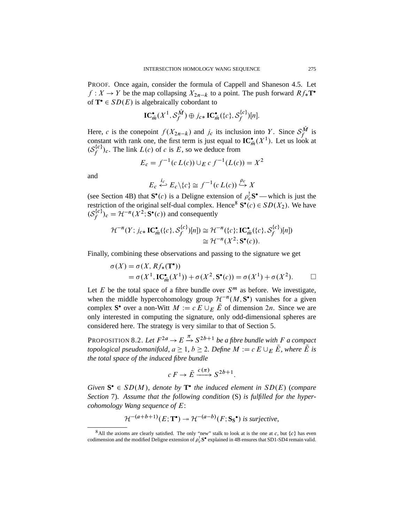PROOF. Once again, consider the formula of Cappell and Shaneson 4.5. Let  $f: X \to Y$  be the map collapsing  $X_{2n-k}$  to a point. The push forward  $Rf_*$ **T**<sup>•</sup> of  $T^{\bullet} \in SD(E)$  is algebraically cobordant to

$$
\mathbf{IC}_{\bar{m}}^{\bullet}(X^1, \mathcal{S}_{f}^{\hat{M}}) \oplus j_{c*} \mathbf{IC}_{\bar{m}}^{\bullet}(\{c\}, \mathcal{S}_{f}^{\{c\}})[n].
$$

Here, c is the conepoint  $f(X_{2n-k})$  and  $j_c$  its inclusion into Y. Since  $S_f^{\hat{M}}$  is constant with rank one, the first term is just equal to  $\mathbf{IC}_{\bar{m}}^{\bullet}(X^1)$ . Let us look at  $(\mathcal{S}^{\{c\}}_{\ell})$  $(f_f^{(c)})_c$ . The link  $L(c)$  of c is E, so we deduce from

$$
E_c = f^{-1}(c L(c)) \cup_E c f^{-1}(L(c)) = X^2
$$

and

$$
E_c \stackrel{i_c}{\hookleftarrow} E_c \setminus \{c\} \cong f^{-1}(c L(c)) \stackrel{\rho_c}{\hookrightarrow} X
$$

(see Section 4B) that  $S^{\bullet}(c)$  is a Deligne extension of  $\rho_c^! S^{\bullet}$  — which is just the restriction of the original self-dual complex. Hence<sup>8</sup>  $S^{\bullet}(c) \in SD(X_2)$ . We have  $(\mathcal{S}_{\ell}^{\{c\}})$  $f_f^{c}$ ) $_c = \mathcal{H}^{-n}(X^2; \mathbf{S}^\bullet(c))$  and consequently

$$
\mathcal{H}^{-n}(Y; j_{c*} \mathbf{IC}_{\bar{m}}^{\bullet}(\{c\}, \mathcal{S}_{f}^{\{c\}})[n]) \cong \mathcal{H}^{-n}(\{c\}; \mathbf{IC}_{\bar{m}}^{\bullet}(\{c\}, \mathcal{S}_{f}^{\{c\}})[n])
$$
  

$$
\cong \mathcal{H}^{-n}(X^{2}; \mathbf{S}^{\bullet}(c)).
$$

Finally, combining these observations and passing to the signature we get

$$
\sigma(X) = \sigma(X, Rf_*(\mathbf{T}^*))
$$
  
=  $\sigma(X^1, \mathbf{IC}_{\bar{m}}^{\bullet}(X^1)) + \sigma(X^2, \mathbf{S}^{\bullet}(c)) = \sigma(X^1) + \sigma(X^2).$ 

Let E be the total space of a fibre bundle over  $S^m$  as before. We investigate, when the middle hypercohomology group  $\mathcal{H}^{-n}(M, \mathbf{S}^{\bullet})$  vanishes for a given complex **S**<sup>•</sup> over a non-Witt  $M := c E \cup_E \overline{E}$  of dimension 2*n*. Since we are only interested in computing the signature, only odd-dimensional spheres are considered here. The strategy is very similar to that of Section 5.

PROPOSITION 8.2. Let  $F^{2a} \to E \stackrel{\pi}{\to} S^{2b+1}$  be a fibre bundle with F a compact *topological pseudomanifold,*  $a \geq 1$ *,*  $b \geq 2$ *. Define*  $M := c E \cup_{E} \overline{E}$ *, where*  $\overline{E}$  *is the total space of the induced fibre bundle*

$$
c F \to \overline{E} \xrightarrow{c(\pi)} S^{2b+1}.
$$

*Given*  $S^{\bullet} \in SD(M)$ , *denote by*  $T^{\bullet}$  *the induced element in*  $SD(E)$  (*compare Section* 7). *Assume that the following condition* (S) *is fulfilled for the hypercohomology Wang sequence of* E:

$$
\mathcal{H}^{-(a+b+1)}(E; \mathbf{T}^{\bullet}) \twoheadrightarrow \mathcal{H}^{-(a-b)}(F; \mathbf{S}_{\mathbf{S}}^{\bullet}) \text{ is surjective,}
$$

<sup>&</sup>lt;sup>8</sup>All the axioms are clearly satisfied. The only "new" stalk to look at is the one at c, but  $\{c\}$  has even codimension and the modified Deligne extension of  $\rho_c^! S^{\bullet}$  explained in 4B ensures that SD1-SD4 remain valid.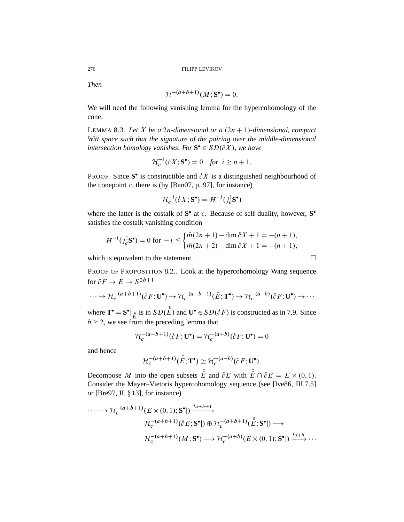*Then*

$$
\mathcal{H}^{-(a+b+1)}(M; \mathbf{S}^{\bullet}) = 0.
$$

We will need the following vanishing lemma for the hypercohomology of the cone.

LEMMA 8.3. Let X be a 2n-dimensional or a  $(2n + 1)$ -dimensional, compact *Witt space such that the signature of the pairing over the middle-dimensional intersection homology vanishes. For*  $S^{\bullet} \in SD(\mathcal{E}X)$ *, we have* 

$$
\mathcal{H}_c^{-i}(\mathring{c}X; \mathbf{S}^\bullet) = 0 \quad \text{for } i \ge n+1.
$$

**PROOF.** Since S<sup>•</sup> is constructible and  $\partial X$  is a distinguished neighbourhood of the conepoint  $c$ , there is (by [Ban07, p. 97], for instance)

$$
\mathcal{H}_c^{-i}(\mathring{c}X; \mathbf{S}^\bullet) = H^{-i}(j_c^! \mathbf{S}^\bullet)
$$

where the latter is the costalk of  $S^{\bullet}$  at c. Because of self-duality, however,  $S^{\bullet}$ satisfies the costalk vanishing condition

$$
H^{-i}(j_c^! \mathbf{S}^{\bullet}) = 0 \text{ for } -i \leq \begin{cases} \bar{m}(2n+1) - \dim \mathring{c}X + 1 = -(n+1), \\ \bar{m}(2n+2) - \dim \mathring{c}X + 1 = -(n+1), \end{cases}
$$

which is equivalent to the statement.  $\Box$ 

PROOF OF PROPOSITION 8.2.. Look at the hypercohomology Wang sequence for  $\mathring{c} F \to \mathring{E} \to S^{2b+1}$ 

$$
\cdots \to \mathcal{H}_c^{-(a+b+1)}(\r c F; \mathbf{U}^{\bullet}) \to \mathcal{H}_c^{-(a+b+1)}(\r E; \mathbf{T}^{\bullet}) \to \mathcal{H}_c^{-(a-b)}(\r c F; \mathbf{U}^{\bullet}) \to \cdots
$$

where  $\mathbf{T}^{\bullet} = \mathbf{S}^{\bullet} |_{\mathring{E}}$  is in  $SD(\mathring{E})$  and  $\mathbf{U}^{\bullet} \in SD(\mathring{E}F)$  is constructed as in 7.9. Since  $b \ge 2$ , we see from the preceding lemma that

$$
\mathcal{H}_c^{-(a+b+1)}(\r c F; \mathbf{U}^{\bullet}) = \mathcal{H}_c^{-(a+b)}(\r c F; \mathbf{U}^{\bullet}) = 0
$$

and hence

$$
\mathcal{H}_c^{-(a+b+1)}(\mathring{E}; \mathbf{T}^{\bullet}) \cong \mathcal{H}_c^{-(a-b)}(\r c F; \mathbf{U}^{\bullet}).
$$

Decompose M into the open subsets  $\stackrel{\circ}{E}$  and  $\stackrel{\circ}{c}E$  with  $\stackrel{\circ}{E} \cap \stackrel{\circ}{c}E = E \times (0, 1)$ . Consider the Mayer–Vietoris hypercohomology sequence (see [Ive86, III.7.5] or [Bre97, II,  $\S 13$ ], for instance)

$$
\cdots \longrightarrow \mathcal{H}_c^{-(a+b+1)}(E \times (0,1); \mathbf{S}^{\bullet}) \xrightarrow{i_{a+b+1}} \mathcal{H}_c^{-(a+b+1)}(\mathring{E}; \mathbf{S}^{\bullet}) \longrightarrow
$$

$$
\mathcal{H}_c^{-(a+b+1)}(M; \mathbf{S}^{\bullet}) \longrightarrow \mathcal{H}_c^{-(a+b)}(E \times (0,1); \mathbf{S}^{\bullet}) \xrightarrow{i_{a+b}} \cdots
$$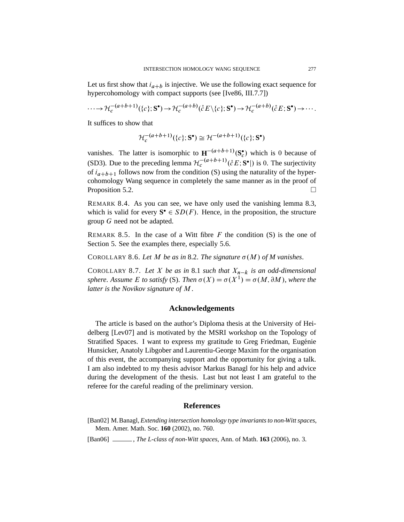Let us first show that  $i_{a+b}$  is injective. We use the following exact sequence for hypercohomology with compact supports (see [Ive86, III.7.7])

$$
\cdots \to \mathcal{H}_c^{-(a+b+1)}(\{c\}; \mathbf{S}^{\bullet}) \to \mathcal{H}_c^{-(a+b)}(\mathring{c}E \setminus \{c\}; \mathbf{S}^{\bullet}) \to \mathcal{H}_c^{-(a+b)}(\mathring{c}E; \mathbf{S}^{\bullet}) \to \cdots
$$

It suffices to show that

$$
\mathcal{H}_c^{-(a+b+1)}(\{c\};\mathbf{S}^\bullet) \cong \mathcal{H}^{-(a+b+1)}(\{c\};\mathbf{S}^\bullet)
$$

vanishes. The latter is isomorphic to  $\mathbf{H}^{-(a+b+1)}(\mathbf{S}_c^{\bullet})$  which is 0 because of (SD3). Due to the preceding lemma  $\mathcal{H}_c^{-(a+b+1)}(\r{c}E; \mathbf{S}^{\bullet})$  is 0. The surjectivity of  $i_{a+b+1}$  follows now from the condition (S) using the naturality of the hypercohomology Wang sequence in completely the same manner as in the proof of Proposition 5.2.  $\Box$ 

REMARK 8.4. As you can see, we have only used the vanishing lemma 8.3, which is valid for every  $S^{\bullet} \in SD(F)$ . Hence, in the proposition, the structure group G need not be adapted.

REMARK 8.5. In the case of a Witt fibre  $F$  the condition  $(S)$  is the one of Section 5. See the examples there, especially 5.6.

COROLLARY 8.6. Let M be as in 8.2. The signature  $\sigma(M)$  of M vanishes.

COROLLARY 8.7. Let X be as in 8.1 such that  $X_{n-k}$  is an odd-dimensional *sphere. Assume E to satisfy* (S). *Then*  $\sigma(X) = \sigma(X^1) = \sigma(M, \partial M)$ , where the *latter is the Novikov signature of* M.

## **Acknowledgements**

The article is based on the author's Diploma thesis at the University of Heidelberg [Lev07] and is motivated by the MSRI workshop on the Topology of Stratified Spaces. I want to express my gratitude to Greg Friedman, Eugénie Hunsicker, Anatoly Libgober and Laurentiu-George Maxim for the organisation of this event, the accompanying support and the opportunity for giving a talk. I am also indebted to my thesis advisor Markus Banagl for his help and advice during the development of the thesis. Last but not least I am grateful to the referee for the careful reading of the preliminary version.

# **References**

[Ban02] M.Banagl, *Extending intersection homology type invariants to non-Witt spaces*, Mem. Amer. Math. Soc. **160** (2002), no. 760.

[Ban06] , *The L-class of non-Witt spaces*, Ann. of Math. **163** (2006), no. 3.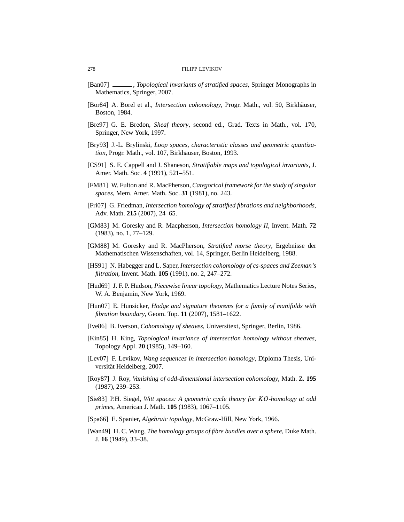- [Ban07] , *Topological invariants of stratified spaces*, Springer Monographs in Mathematics, Springer, 2007.
- [Bor84] A. Borel et al., *Intersection cohomology*, Progr. Math., vol. 50, Birkhäuser, Boston, 1984.
- [Bre97] G. E. Bredon, *Sheaf theory*, second ed., Grad. Texts in Math., vol. 170, Springer, New York, 1997.
- [Bry93] J.-L. Brylinski, *Loop spaces, characteristic classes and geometric quantization*, Progr. Math., vol. 107, Birkhäuser, Boston, 1993.
- [CS91] S. E. Cappell and J. Shaneson, *Stratifiable maps and topological invariants*, J. Amer. Math. Soc. **4** (1991), 521–551.
- [FM81] W. Fulton and R. MacPherson, *Categorical framework for the study of singular spaces*, Mem. Amer. Math. Soc. **31** (1981), no. 243.
- [Fri07] G. Friedman, *Intersection homology of stratified fibrations and neighborhoods*, Adv. Math. **215** (2007), 24–65.
- [GM83] M. Goresky and R. Macpherson, *Intersection homology II*, Invent. Math. **72** (1983), no. 1, 77–129.
- [GM88] M. Goresky and R. MacPherson, *Stratified morse theory*, Ergebnisse der Mathematischen Wissenschaften, vol. 14, Springer, Berlin Heidelberg, 1988.
- [HS91] N. Habegger and L. Saper, *Intersection cohomology of cs-spaces and Zeeman's filtration*, Invent. Math. **105** (1991), no. 2, 247–272.
- [Hud69] J. F. P. Hudson, *Piecewise linear topology*, Mathematics Lecture Notes Series, W. A. Benjamin, New York, 1969.
- [Hun07] E. Hunsicker, *Hodge and signature theorems for a family of manifolds with fibration boundary*, Geom. Top. **11** (2007), 1581–1622.
- [Ive86] B. Iverson, *Cohomology of sheaves*, Universitext, Springer, Berlin, 1986.
- [Kin85] H. King, *Topological invariance of intersection homology without sheaves*, Topology Appl. **20** (1985), 149–160.
- [Lev07] F. Levikov, *Wang sequences in intersection homology*, Diploma Thesis, Universität Heidelberg, 2007.
- [Roy87] J. Roy, *Vanishing of odd-dimensional intersection cohomology*, Math. Z. **195** (1987), 239–253.
- [Sie83] P.H. Siegel, *Witt spaces: A geometric cycle theory for* KO*-homology at odd primes*, American J. Math. **105** (1983), 1067–1105.
- [Spa66] E. Spanier, *Algebraic topology*, McGraw-Hill, New York, 1966.
- [Wan49] H. C. Wang, *The homology groups of fibre bundles over a sphere*, Duke Math. J. **16** (1949), 33–38.